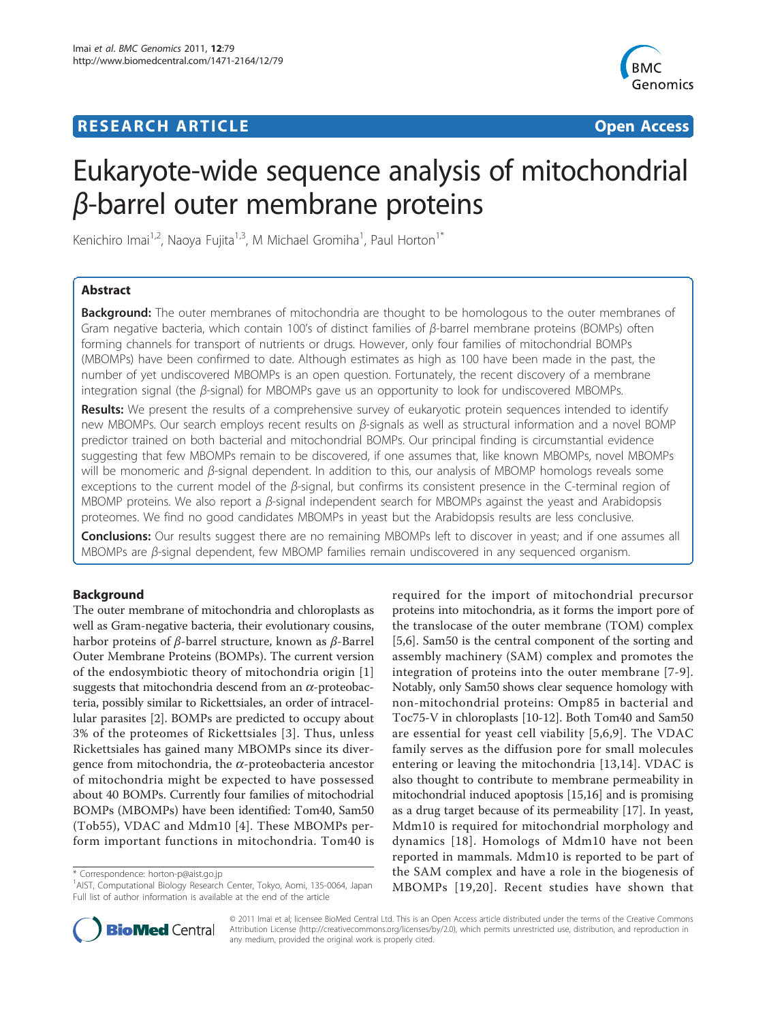# **RESEARCH ARTICLE Example 2018 CONSUMING ACCESS**



# Eukaryote-wide sequence analysis of mitochondrial β-barrel outer membrane proteins

Kenichiro Imai<sup>1,2</sup>, Naoya Fujita<sup>1,3</sup>, M Michael Gromiha<sup>1</sup>, Paul Horton<sup>1\*</sup>

# Abstract

**Background:** The outer membranes of mitochondria are thought to be homologous to the outer membranes of Gram negative bacteria, which contain 100's of distinct families of  $β$ -barrel membrane proteins (BOMPs) often forming channels for transport of nutrients or drugs. However, only four families of mitochondrial BOMPs (MBOMPs) have been confirmed to date. Although estimates as high as 100 have been made in the past, the number of yet undiscovered MBOMPs is an open question. Fortunately, the recent discovery of a membrane integration signal (the β-signal) for MBOMPs gave us an opportunity to look for undiscovered MBOMPs.

Results: We present the results of a comprehensive survey of eukaryotic protein sequences intended to identify new MBOMPs. Our search employs recent results on β-signals as well as structural information and a novel BOMP predictor trained on both bacterial and mitochondrial BOMPs. Our principal finding is circumstantial evidence suggesting that few MBOMPs remain to be discovered, if one assumes that, like known MBOMPs, novel MBOMPs will be monomeric and  $β$ -signal dependent. In addition to this, our analysis of MBOMP homologs reveals some exceptions to the current model of the  $\beta$ -signal, but confirms its consistent presence in the C-terminal region of MBOMP proteins. We also report a β-signal independent search for MBOMPs against the yeast and Arabidopsis proteomes. We find no good candidates MBOMPs in yeast but the Arabidopsis results are less conclusive.

Conclusions: Our results suggest there are no remaining MBOMPs left to discover in yeast; and if one assumes all MBOMPs are β-signal dependent, few MBOMP families remain undiscovered in any sequenced organism.

# Background

The outer membrane of mitochondria and chloroplasts as well as Gram-negative bacteria, their evolutionary cousins, harbor proteins of β-barrel structure, known as β-Barrel Outer Membrane Proteins (BOMPs). The current version of the endosymbiotic theory of mitochondria origin [1] suggests that mitochondria descend from an  $\alpha$ -proteobacteria, possibly similar to Rickettsiales, an order of intracellular parasites [2]. BOMPs are predicted to occupy about 3% of the proteomes of Rickettsiales [3]. Thus, unless Rickettsiales has gained many MBOMPs since its divergence from mitochondria, the  $\alpha$ -proteobacteria ancestor of mitochondria might be expected to have possessed about 40 BOMPs. Currently four families of mitochodrial BOMPs (MBOMPs) have been identified: Tom40, Sam50 (Tob55), VDAC and Mdm10 [4]. These MBOMPs perform important functions in mitochondria. Tom40 is

\* Correspondence: horton-p@aist.go.jp

<sup>1</sup>AIST, Computational Biology Research Center, Tokyo, Aomi, 135-0064, Japan Full list of author information is available at the end of the article





© 2011 Imai et al; licensee BioMed Central Ltd. This is an Open Access article distributed under the terms of the Creative Commons Attribution License [\(http://creativecommons.org/licenses/by/2.0](http://creativecommons.org/licenses/by/2.0)), which permits unrestricted use, distribution, and reproduction in any medium, provided the original work is properly cited.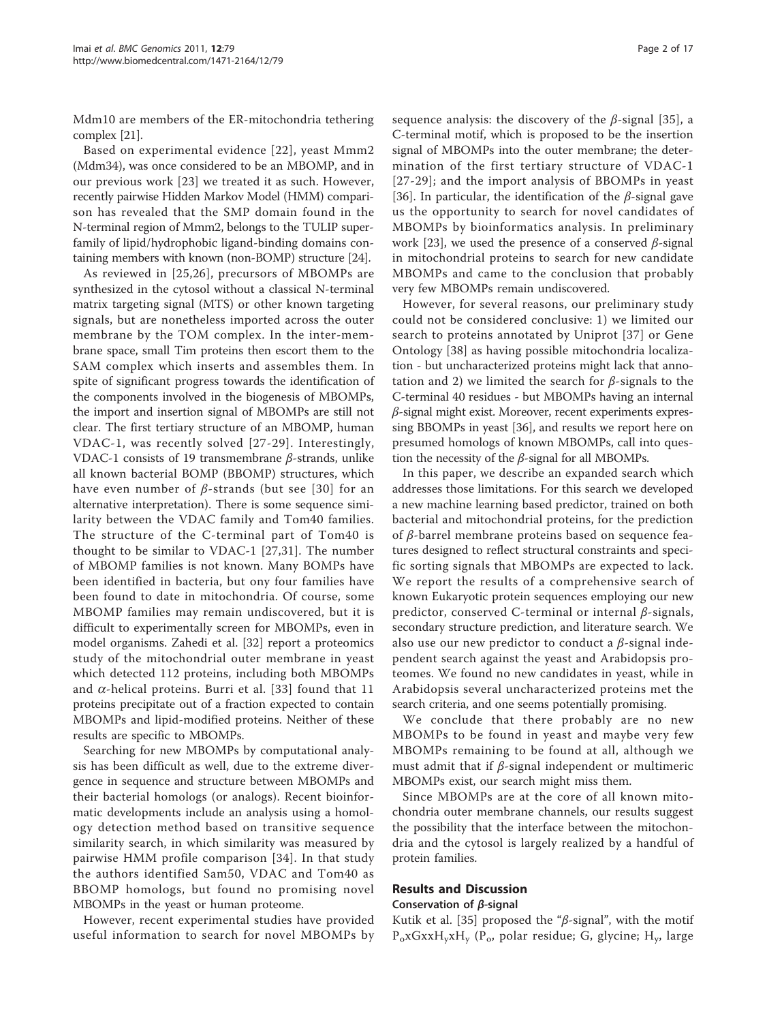Mdm10 are members of the ER-mitochondria tethering complex [21].

Based on experimental evidence [22], yeast Mmm2 (Mdm34), was once considered to be an MBOMP, and in our previous work [23] we treated it as such. However, recently pairwise Hidden Markov Model (HMM) comparison has revealed that the SMP domain found in the N-terminal region of Mmm2, belongs to the TULIP superfamily of lipid/hydrophobic ligand-binding domains containing members with known (non-BOMP) structure [24].

As reviewed in [25,26], precursors of MBOMPs are synthesized in the cytosol without a classical N-terminal matrix targeting signal (MTS) or other known targeting signals, but are nonetheless imported across the outer membrane by the TOM complex. In the inter-membrane space, small Tim proteins then escort them to the SAM complex which inserts and assembles them. In spite of significant progress towards the identification of the components involved in the biogenesis of MBOMPs, the import and insertion signal of MBOMPs are still not clear. The first tertiary structure of an MBOMP, human VDAC-1, was recently solved [27-29]. Interestingly, VDAC-1 consists of 19 transmembrane  $\beta$ -strands, unlike all known bacterial BOMP (BBOMP) structures, which have even number of *β*-strands (but see [30] for an alternative interpretation). There is some sequence similarity between the VDAC family and Tom40 families. The structure of the C-terminal part of Tom40 is thought to be similar to VDAC-1 [27,31]. The number of MBOMP families is not known. Many BOMPs have been identified in bacteria, but ony four families have been found to date in mitochondria. Of course, some MBOMP families may remain undiscovered, but it is difficult to experimentally screen for MBOMPs, even in model organisms. Zahedi et al. [32] report a proteomics study of the mitochondrial outer membrane in yeast which detected 112 proteins, including both MBOMPs and  $\alpha$ -helical proteins. Burri et al. [33] found that 11 proteins precipitate out of a fraction expected to contain MBOMPs and lipid-modified proteins. Neither of these results are specific to MBOMPs.

Searching for new MBOMPs by computational analysis has been difficult as well, due to the extreme divergence in sequence and structure between MBOMPs and their bacterial homologs (or analogs). Recent bioinformatic developments include an analysis using a homology detection method based on transitive sequence similarity search, in which similarity was measured by pairwise HMM profile comparison [34]. In that study the authors identified Sam50, VDAC and Tom40 as BBOMP homologs, but found no promising novel MBOMPs in the yeast or human proteome.

However, recent experimental studies have provided useful information to search for novel MBOMPs by sequence analysis: the discovery of the  $\beta$ -signal [35], a C-terminal motif, which is proposed to be the insertion signal of MBOMPs into the outer membrane; the determination of the first tertiary structure of VDAC-1 [27-29]; and the import analysis of BBOMPs in yeast [36]. In particular, the identification of the  $\beta$ -signal gave us the opportunity to search for novel candidates of MBOMPs by bioinformatics analysis. In preliminary work [23], we used the presence of a conserved  $β$ -signal in mitochondrial proteins to search for new candidate MBOMPs and came to the conclusion that probably very few MBOMPs remain undiscovered.

However, for several reasons, our preliminary study could not be considered conclusive: 1) we limited our search to proteins annotated by Uniprot [37] or Gene Ontology [38] as having possible mitochondria localization - but uncharacterized proteins might lack that annotation and 2) we limited the search for  $\beta$ -signals to the C-terminal 40 residues - but MBOMPs having an internal β-signal might exist. Moreover, recent experiments expressing BBOMPs in yeast [36], and results we report here on presumed homologs of known MBOMPs, call into question the necessity of the  $\beta$ -signal for all MBOMPs.

In this paper, we describe an expanded search which addresses those limitations. For this search we developed a new machine learning based predictor, trained on both bacterial and mitochondrial proteins, for the prediction of  $β$ -barrel membrane proteins based on sequence features designed to reflect structural constraints and specific sorting signals that MBOMPs are expected to lack. We report the results of a comprehensive search of known Eukaryotic protein sequences employing our new predictor, conserved C-terminal or internal β-signals, secondary structure prediction, and literature search. We also use our new predictor to conduct a  $\beta$ -signal independent search against the yeast and Arabidopsis proteomes. We found no new candidates in yeast, while in Arabidopsis several uncharacterized proteins met the search criteria, and one seems potentially promising.

We conclude that there probably are no new MBOMPs to be found in yeast and maybe very few MBOMPs remaining to be found at all, although we must admit that if  $\beta$ -signal independent or multimeric MBOMPs exist, our search might miss them.

Since MBOMPs are at the core of all known mitochondria outer membrane channels, our results suggest the possibility that the interface between the mitochondria and the cytosol is largely realized by a handful of protein families.

# Results and Discussion Conservation of  $\beta$ -signal

Kutik et al. [35] proposed the " $\beta$ -signal", with the motif P<sub>o</sub>xGxxH<sub>y</sub>xH<sub>y</sub> (P<sub>o</sub>, polar residue; G, glycine; H<sub>y</sub>, large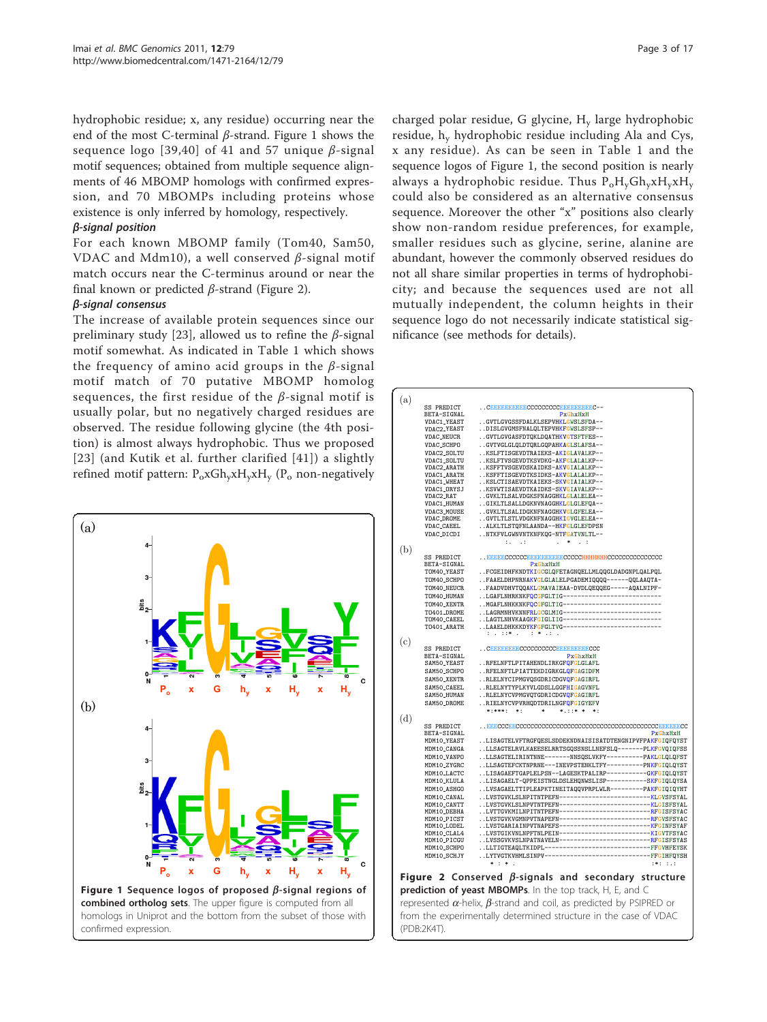<span id="page-2-0"></span>hydrophobic residue; x, any residue) occurring near the end of the most C-terminal  $\beta$ -strand. Figure 1 shows the sequence logo [39,40] of 41 and 57 unique  $\beta$ -signal motif sequences; obtained from multiple sequence alignments of 46 MBOMP homologs with confirmed expression, and 70 MBOMPs including proteins whose existence is only inferred by homology, respectively.

#### β-signal position

For each known MBOMP family (Tom40, Sam50, VDAC and Mdm10), a well conserved  $\beta$ -signal motif match occurs near the C-terminus around or near the final known or predicted  $\beta$ -strand (Figure 2).

# β-signal consensus

The increase of available protein sequences since our preliminary study [23], allowed us to refine the  $\beta$ -signal motif somewhat. As indicated in Table [1 which shows](#page-3-0) [the frequency of amino acid groups in the](#page-3-0)  $\beta$ -signal [motif match of 70 putative MBOMP homolog](#page-3-0) [sequences, the first residue of the](#page-3-0)  $\beta$ -signal motif is [usually polar, but no negatively charged residues are](#page-3-0) [observed. The residue following glycine \(the 4th posi](#page-3-0)[tion\) is almost always hydrophobic. Thus we proposed](#page-3-0) [23] (and Kutik et al. further clarified [41]) a slightly refined motif pattern: P<sub>o</sub>xGh<sub>y</sub>xH<sub>y</sub>xH<sub>y</sub> (P<sub>o</sub> non-negatively



charged polar residue, G glycine, H<sub>y</sub> large hydrophobic residue, h<sup>y</sup> hydrophobic residue including Ala and Cys, x any residue). As can be seen in Table [1 and the](#page-3-0) sequence logos of Figure 1, the second position is nearly always a hydrophobic residue. Thus  $P_0H_vGh_vxH_vxH_v$ could also be considered as an alternative consensus sequence. Moreover the other "x" positions also clearly show non-random residue preferences, for example, smaller residues such as glycine, serine, alanine are abundant, however the commonly observed residues do not all share similar properties in terms of hydrophobicity; and because the sequences used are not all mutually independent, the column heights in their sequence logo do not necessarily indicate statistical significance (see methods for details).

| (a) |                                   |                                                                                                                          |
|-----|-----------------------------------|--------------------------------------------------------------------------------------------------------------------------|
|     | SS PREDICT                        | CREEBEREECCCCCCCCCCBEREEREC--                                                                                            |
|     | BETA-SIGNAL                       | $P \times G$ h $\times H \times H$                                                                                       |
|     | VDAC1_YEAST                       | GVTLGVGSSFDALKLSEPVHKLGWSLSFDA--                                                                                         |
|     | VDAC2_YEAST                       | DISLGVGMSFNALQLTEPVHKFGWSLSFSP--                                                                                         |
|     | VDAC_NEUCR<br>VDAC_SCHPO          | GVTLGVGASFDTQKLDQATHKVGTSFTFES--<br>GVTVGLGLQLDTQRLGQPAHKAGLSLAFSA--                                                     |
|     | VDAC2_SOLTU                       | KSLFTISGEVDTRAIEKS-AKIGLAVALKP--                                                                                         |
|     | VDAC1_SOLTU                       | KSLFTVSGEVDTKSVDKG-AKFGLALALKP--                                                                                         |
|     | VDAC2_ARATH                       | KSFFTVSGEVDSKAIDKS-AKVGIALALKP--                                                                                         |
|     | VDAC1_ARATH                       | KSFFTISGEVDTKSIDKS-AKVGLALALKP--                                                                                         |
|     | <b>VDAC1_WHEAT</b><br>VDAC1_ORYSJ | KSLCTISAEVDTKAIEKS-SKVGIAIALKP--<br>KSVWTISAEVDTKAIDKS-SKVGIAVALKP--                                                     |
|     | VDAC2_RAT                         | GVKLTLSALVDGKSFNAGGHKLGLALELEA--                                                                                         |
|     | VDAC1_HUMAN                       | GIKLTLSALLDGKNVNAGGHKLGLGLEFQA--                                                                                         |
|     | VDAC3_MOUSE                       | GVKLTLSALIDGKNFNAGGHKVGLGFELEA--                                                                                         |
|     | VDAC_DROME                        | GVTLTLSTLVDGKNFNAGGHKIGVGLELEA--                                                                                         |
|     | VDAC_CAEEL<br>VDAC_DICDI          | ALKLTLSTQFNLAANDA--HKFGLGLEFDPSN<br>NTKFVLGWNVNTKNFKQG-NTFGATVNLTL--                                                     |
|     |                                   | $11 - 11$<br>$*$ . :                                                                                                     |
| (b) |                                   |                                                                                                                          |
|     | SS PREDICT                        |                                                                                                                          |
|     | BETA-SIGNAL<br>TOM40_YEAST        | PxGhxHxH                                                                                                                 |
|     | TOM40_SCHPO                       | FCGEIDHFKNDTKIGCGLQFETAGNQELLMLQQGLDADGNPLQALPQL<br>FAAELDHPNRNAKVGLGLALELPGADEMIQQQQ------QQLAAQTA-                     |
|     | TOM40_NEUCR                       | FAADVDHVTQQAKLGMAVAIEAA-DVDLQEQQEG-----AQALNIPF-                                                                         |
|     | TOM40_HUMAN                       | LGAFLNHRKNKFQCGFGLTIG----------------------------                                                                        |
|     | TOM40_XENTR                       | MGAFLNHKKNKFQCGFGLTIG----------------------------                                                                        |
|     | T0401_DROME                       | LAGRMNHVKNNFRLGCGLMIG----------------------------                                                                        |
|     | TOM40_CAEEL                       | LAGTLNHVKAAGKFGIGLIIG----------------------------                                                                        |
|     | T0401_ARATH                       | LAAELDHKKKDYKFGFGLTVG---------------------------                                                                         |
| (c) |                                   |                                                                                                                          |
|     | SS PREDICT                        | CEEEEEEEECCCCCCCCCCEEEEEEEECCC                                                                                           |
|     | BETA-SIGNAL                       | $P$ x $G$ h x $H$ x $H$                                                                                                  |
|     | SAM50_YEAST<br>SAM50_SCHPO        | RFELNFTLPITAHENDLIRKGFQFGLGLAFL<br>RFELNFTLPIATTEKDIGRKGLQFGAGIDFM                                                       |
|     | SAM50_XENTR                       | RLELNYCIPMGVQSGDRICDGVQFGAGIRFL                                                                                          |
|     | SAM50_CAEEL                       | RLELNYTYPLKYVLGDSLLGGFHIGAGVNFL                                                                                          |
|     | SAM50_HUMAN                       | RLELNYCVPMGVQTGDRICDGVQFGAGIRFL                                                                                          |
|     | SAM50_DROME                       | RIELNYCVPVRHQDTDRILNGFQFGIGYEFV<br>*:***: *:<br>$\ast$<br>*.::* * *:                                                     |
| (d) |                                   |                                                                                                                          |
|     | SS PREDICT                        |                                                                                                                          |
|     | BETA-SIGNAL                       | PxGhxHxH                                                                                                                 |
|     | MDM10_YEAST                       | LISAGTELVFTRGFQESLSDDEKNDNAISISATDTENGNIPVFPAKFGIQFQYST                                                                  |
|     | MDM10_CANGA                       | LLSAGTELRVLKAEESELRRTSGQSSNSLLNEFSLQ-------PLKFGVQIQFSS                                                                  |
|     | MDM10_VANPO<br>MDM10_ZYGRC        | LLSAGTELIRINTNNE-------NNSQSLVKFY----------PAKLGLQLQFST<br>LLSAGTEFCKTNPRNE---INEVPSTENKLTFY---------PNKFGIQLQYST        |
|     | MDM10_LACTC                       | LISAGAEFTGAPLELPSN--LAGESKTPALIRP---------GKFGIQLQYST                                                                    |
|     | MDM10_KLULA                       | LISAGAELT-QPPEISTNGLDSLEHQNWSLISP----------SKFGIQLQYSA                                                                   |
|     | MDM10_ASHGO                       | LVSAGAELTTIPLEAPKTINEITAQQVPRPLWLR---------PAKFGIQIQYHT                                                                  |
|     | MDM10_CANAL                       | LVSTGVKLSLNPITNTPEFN-----------------------------KLGVSFSYAL                                                              |
|     | MDM10_CANTT<br>MDM10_DEBHA        | LVSTGVKLSLNPVTNTPEFN-----------------------------KLGISFSYAL<br>LVTTGVKMILNPITNTPEFN---------------------------RFGISFSYAC |
|     | MDM10_PICST                       | LVSTGVKVGMNPVTNAPEFN-----------------------------RFGVSFSYAC                                                              |
|     | MDM10_LODEL                       | LVSTGARIAINPVTNAPEFS---------------------------KFGINFSYAF                                                                |
|     | MDM10_CLAL4                       |                                                                                                                          |
|     | MDM10_PICGU                       | LVSSGVKVSLNPATNAVELN----------------------------RFGISFSYAS                                                               |
|     | MDM10_SCHPO<br>MDM10_SCHJY        | LLTIGTEAQLTKIDPL------------------------------FFGVHFEYSK<br>LYTVGTKVHMLSINPV------------------------------FFGIHFQYSH     |
|     |                                   | * : *                                                                                                                    |
|     |                                   |                                                                                                                          |
|     |                                   | Figure 2 Conserved $\beta$ -signals and secondary structure                                                              |
|     |                                   | prediction of yeast MBOMPs. In the top track, H, E, and C                                                                |
|     |                                   | represented $\alpha$ -helix, $\beta$ -strand and coil, as predicted by PSIPRED or                                        |
|     |                                   | from the experimentally determined structure in the case of VDAC                                                         |
|     |                                   |                                                                                                                          |
|     | (PDB:2K4T).                       |                                                                                                                          |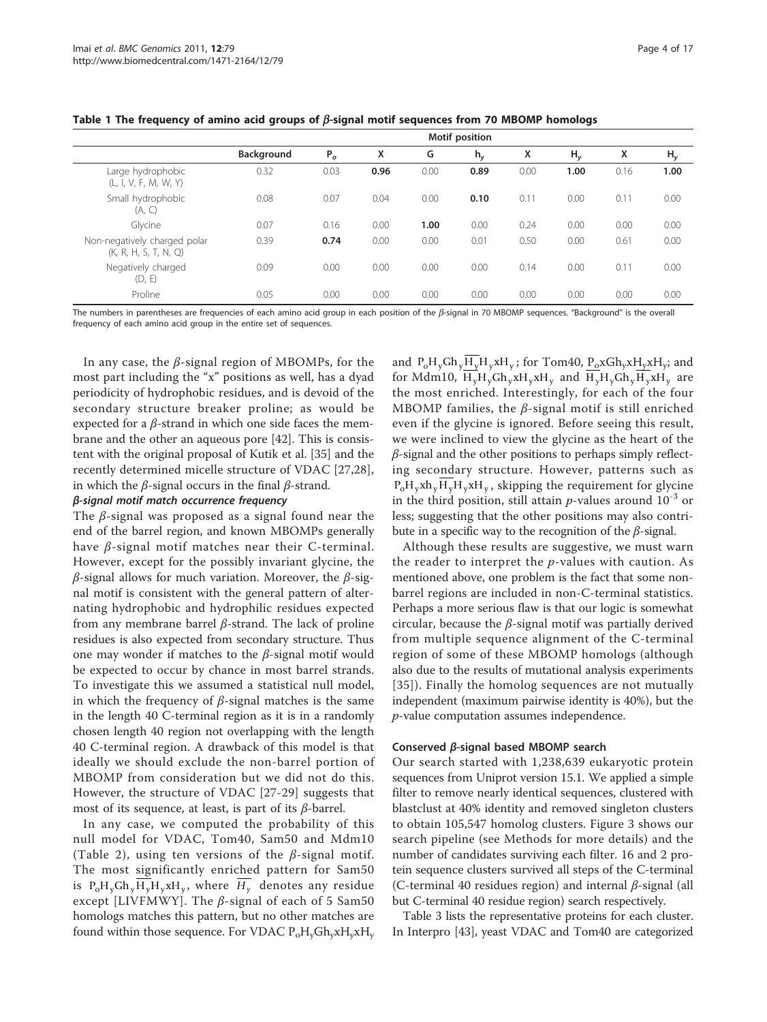<span id="page-3-0"></span>

|  |  |  |  | Table 1 The frequency of amino acid groups of $\beta$ -signal motif sequences from 70 MBOMP homologs |
|--|--|--|--|------------------------------------------------------------------------------------------------------|
|--|--|--|--|------------------------------------------------------------------------------------------------------|

|                                                       | Motif position    |                |      |      |       |      |       |      |                |
|-------------------------------------------------------|-------------------|----------------|------|------|-------|------|-------|------|----------------|
|                                                       | <b>Background</b> | P <sub>o</sub> | x    | G    | $h_v$ | x    | $H_v$ | x    | H <sub>y</sub> |
| Large hydrophobic<br>(L, I, V, F, M, W, Y)            | 0.32              | 0.03           | 0.96 | 0.00 | 0.89  | 0.00 | 1.00  | 0.16 | 1.00           |
| Small hydrophobic<br>(A, C)                           | 0.08              | 0.07           | 0.04 | 0.00 | 0.10  | 0.11 | 0.00  | 0.11 | 0.00           |
| Glycine                                               | 0.07              | 0.16           | 0.00 | 1.00 | 0.00  | 0.24 | 0.00  | 0.00 | 0.00           |
| Non-negatively charged polar<br>(K, R, H, S, T, N, Q) | 0.39              | 0.74           | 0.00 | 0.00 | 0.01  | 0.50 | 0.00  | 0.61 | 0.00           |
| Negatively charged<br>(D, E)                          | 0.09              | 0.00           | 0.00 | 0.00 | 0.00  | 0.14 | 0.00  | 0.11 | 0.00           |
| Proline                                               | 0.05              | 0.00           | 0.00 | 0.00 | 0.00  | 0.00 | 0.00  | 0.00 | 0.00           |

The numbers in parentheses are frequencies of each amino acid group in each position of the  $\beta$ -signal in 70 MBOMP sequences. "Background" is the overall frequency of each amino acid group in the entire set of sequences.

In any case, the  $\beta$ -signal region of MBOMPs, for the most part including the "x" positions as well, has a dyad periodicity of hydrophobic residues, and is devoid of the secondary structure breaker proline; as would be expected for a  $\beta$ -strand in which one side faces the membrane and the other an aqueous pore [42]. This is consistent with the original proposal of Kutik et al. [35] and the recently determined micelle structure of VDAC [27,28], in which the *β*-signal occurs in the final *β*-strand.

#### β-signal motif match occurrence frequency

The  $\beta$ -signal was proposed as a signal found near the end of the barrel region, and known MBOMPs generally have *β*-signal motif matches near their *C*-terminal. However, except for the possibly invariant glycine, the  $β$ -signal allows for much variation. Moreover, the  $β$ -signal motif is consistent with the general pattern of alternating hydrophobic and hydrophilic residues expected from any membrane barrel β-strand. The lack of proline residues is also expected from secondary structure. Thus one may wonder if matches to the  $\beta$ -signal motif would be expected to occur by chance in most barrel strands. To investigate this we assumed a statistical null model, in which the frequency of  $\beta$ -signal matches is the same in the length 40 C-terminal region as it is in a randomly chosen length 40 region not overlapping with the length 40 C-terminal region. A drawback of this model is that ideally we should exclude the non-barrel portion of MBOMP from consideration but we did not do this. However, the structure of VDAC [27-29] suggests that most of its sequence, at least, is part of its  $\beta$ -barrel.

In any case, we computed the probability of this null model for VDAC, Tom40, Sam50 and Mdm10 (Table [2\), using ten versions of the](#page-4-0)  $\beta$ -signal motif. [The most significantly enriched pattern for Sam50](#page-4-0) [is](#page-4-0)  $P_0H_yGh_yH_yH_yxH_y$ [, where](#page-4-0)  $H_y$  [denotes any residue](#page-4-0) except [LIVFMWY]. The  $\beta$ [-signal of each of 5 Sam50](#page-4-0) [homologs matches this pattern, but no other matches are](#page-4-0) found within those sequence. For VDAC  $P_0H_vGh_vxH_vxH_v$  $P_0H_vGh_vxH_vxH_v$  $P_0H_vGh_vxH_vxH_v$  $P_0H_vGh_vxH_vxH_v$  $P_0H_vGh_vxH_vxH_v$  $P_0H_vGh_vxH_vxH_v$  $P_0H_vGh_vxH_vxH_v$ 

[and](#page-4-0)  $P_0H_yGh_yH_yH_yxH_y$  $P_0H_yGh_yH_yH_yxH_y$  $P_0H_yGh_yH_yH_yxH_y$ ; for Tom40,  $P_0xGh_yxH_yxH_y$  $P_0xGh_yxH_yxH_y$  $P_0xGh_yxH_yxH_y$ [; and](#page-4-0) [for Mdm10,](#page-4-0)  $H_vH_vGh_vxH_vxH_v$  [and](#page-4-0)  $H_vH_vGh_vH_vxH_v$  [are](#page-4-0) [the most enriched. Interestingly, for each of the four](#page-4-0) MBOMP families, the  $\beta$ [-signal motif is still enriched](#page-4-0) [even if the glycine is ignored. Before seeing this result,](#page-4-0) [we were inclined to view the glycine as the heart of the](#page-4-0)  $\beta$ [-signal and the other positions to perhaps simply reflect](#page-4-0)[ing secondary structure. However, patterns such as](#page-4-0)  $P_0H_vxh_vH_vH_vxH_v$ [, skipping the requirement for glycine](#page-4-0) [in the third position, still attain](#page-4-0) *p*-values around  $10^{-3}$  [or](#page-4-0) [less; suggesting that the other positions may also contri](#page-4-0)[bute in a specific way to the recognition of the](#page-4-0)  $\beta$ -signal.

Although these results are suggestive, we must warn the reader to interpret the  $p$ -values with caution. As mentioned above, one problem is the fact that some nonbarrel regions are included in non-C-terminal statistics. Perhaps a more serious flaw is that our logic is somewhat circular, because the  $\beta$ -signal motif was partially derived from multiple sequence alignment of the C-terminal region of some of these MBOMP homologs (although also due to the results of mutational analysis experiments [35]). Finally the homolog sequences are not mutually independent (maximum pairwise identity is 40%), but the p-value computation assumes independence.

#### Conserved β-signal based MBOMP search

Our search started with 1,238,639 eukaryotic protein sequences from Uniprot version 15.1. We applied a simple filter to remove nearly identical sequences, clustered with blastclust at 40% identity and removed singleton clusters to obtain 105,547 homolog clusters. Figure [3 shows our](#page-4-0) [search pipeline \(see Methods for more details\) and the](#page-4-0) [number of candidates surviving each filter. 16 and 2 pro](#page-4-0)[tein sequence clusters survived all steps of the C-terminal](#page-4-0) [\(C-terminal 40 residues region\) and internal](#page-4-0) β-signal (all [but C-terminal 40 residue region\) search respectively.](#page-4-0)

Table [3 lists the representative proteins for each cluster.](#page-5-0) In Interpro [43], yeast VDAC and Tom40 are categorized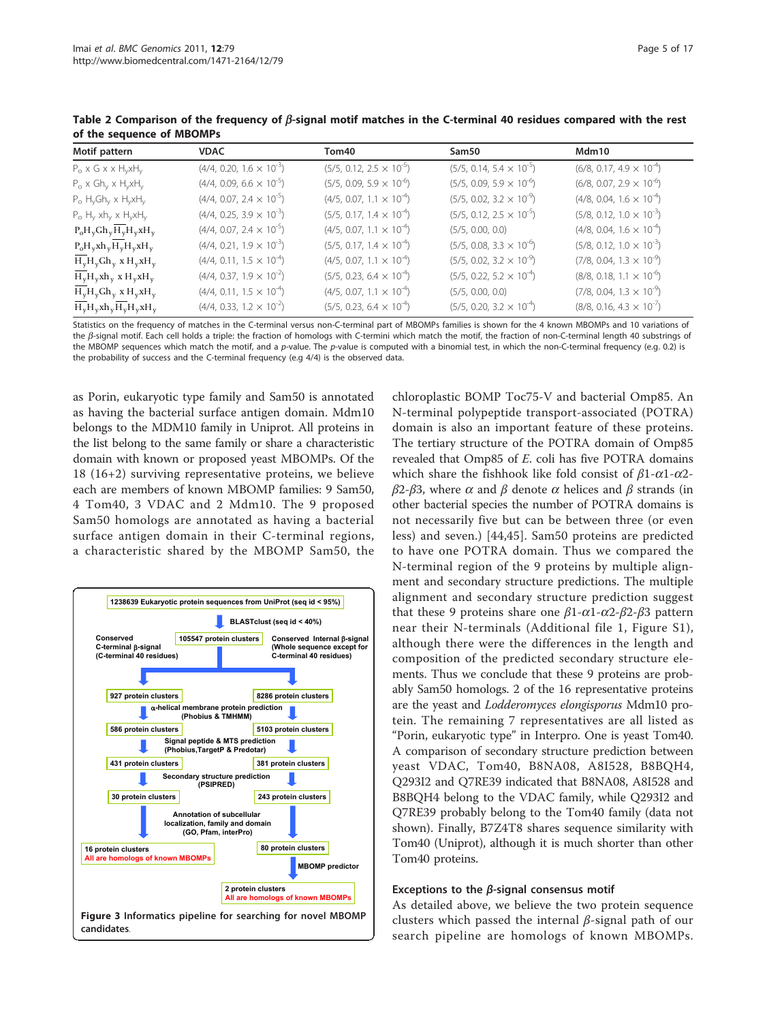| Motif pattern                                  | <b>VDAC</b>                       | Tom40                             | Sam50                             | Mdm10                             |
|------------------------------------------------|-----------------------------------|-----------------------------------|-----------------------------------|-----------------------------------|
| $P_{o}$ x G x x H <sub>v</sub> xH <sub>v</sub> | $(4/4, 0.20, 1.6 \times 10^{-3})$ | $(5/5, 0.12, 2.5 \times 10^{-5})$ | $(5/5, 0.14, 5.4 \times 10^{-5})$ | $(6/8, 0.17, 4.9 \times 10^{-4})$ |
| $P_o \times Gh_v \times H_v xH_v$              | $(4/4, 0.09, 6.6 \times 10^{-5})$ | $(5/5, 0.09, 5.9 \times 10^{-6})$ | $(5/5, 0.09, 5.9 \times 10^{-6})$ | $(6/8, 0.07, 2.9 \times 10^{-6})$ |
| $P_o H_v Gh_v \times H_v xH_v$                 | $(4/4, 0.07, 2.4 \times 10^{-5})$ | $(4/5, 0.07, 1.1 \times 10^{-4})$ | $(5/5, 0.02, 3.2 \times 10^{-9})$ | $(4/8, 0.04, 1.6 \times 10^{-4})$ |
| $P_o H_y x h_y x H_y x H_y$                    | $(4/4, 0.25, 3.9 \times 10^{-3})$ | $(5/5, 0.17, 1.4 \times 10^{-4})$ | $(5/5, 0.12, 2.5 \times 10^{-5})$ | $(5/8, 0.12, 1.0 \times 10^{-3})$ |
| $P_0H_yGh_yH_yH_yxH_y$                         | $(4/4, 0.07, 2.4 \times 10^{-5})$ | $(4/5, 0.07, 1.1 \times 10^{-4})$ | (5/5, 0.00, 0.0)                  | $(4/8, 0.04, 1.6 \times 10^{-4})$ |
| $P_0H_vxh_v\overline{H_v}H_vxH_v$              | $(4/4, 0.21, 1.9 \times 10^{-3})$ | $(5/5, 0.17, 1.4 \times 10^{-4})$ | $(5/5, 0.08, 3.3 \times 10^{-6})$ | $(5/8, 0.12, 1.0 \times 10^{-3})$ |
| $H_vH_vGh_v$ x $H_vxH_v$                       | $(4/4, 0.11, 1.5 \times 10^{-4})$ | $(4/5, 0.07, 1.1 \times 10^{-4})$ | $(5/5, 0.02, 3.2 \times 10^{-9})$ | $(7/8, 0.04, 1.3 \times 10^{-9})$ |
| $H_vH_vxh_v xH_vxH_v$                          | $(4/4, 0.37, 1.9 \times 10^{-2})$ | $(5/5, 0.23, 6.4 \times 10^{-4})$ | $(5/5, 0.22, 5.2 \times 10^{-4})$ | $(8/8, 0.18, 1.1 \times 10^{-6})$ |
| $H_{v}H_{v}Gh_{v}$ x $H_{v}xH_{v}$             | $(4/4, 0.11, 1.5 \times 10^{-4})$ | $(4/5, 0.07, 1.1 \times 10^{-4})$ | (5/5, 0.00, 0.0)                  | $(7/8, 0.04, 1.3 \times 10^{-9})$ |
| $H_{y}H_{y}xh_{y}H_{y}H_{y}xH_{y}$             | $(4/4, 0.33, 1.2 \times 10^{-2})$ | $(5/5, 0.23, 6.4 \times 10^{-4})$ | $(5/5, 0.20, 3.2 \times 10^{-4})$ | $(8/8, 0.16, 4.3 \times 10^{-7})$ |

<span id="page-4-0"></span>Table 2 Comparison of the frequency of  $\beta$ -signal motif matches in the C-terminal 40 residues compared with the rest of the sequence of MBOMPs

Statistics on the frequency of matches in the C-terminal versus non-C-terminal part of MBOMPs families is shown for the 4 known MBOMPs and 10 variations of the  $\beta$ -signal motif. Each cell holds a triple: the fraction of homologs with C-termini which match the motif, the fraction of non-C-terminal length 40 substrings of the MBOMP sequences which match the motif, and a p-value. The p-value is computed with a binomial test, in which the non-C-terminal frequency (e.g. 0.2) is the probability of success and the C-terminal frequency (e.g 4/4) is the observed data.

as Porin, eukaryotic type family and Sam50 is annotated as having the bacterial surface antigen domain. Mdm10 belongs to the MDM10 family in Uniprot. All proteins in the list belong to the same family or share a characteristic domain with known or proposed yeast MBOMPs. Of the 18 (16+2) surviving representative proteins, we believe each are members of known MBOMP families: 9 Sam50, 4 Tom40, 3 VDAC and 2 Mdm10. The 9 proposed Sam50 homologs are annotated as having a bacterial surface antigen domain in their C-terminal regions, a characteristic shared by the MBOMP Sam50, the



chloroplastic BOMP Toc75-V and bacterial Omp85. An N-terminal polypeptide transport-associated (POTRA) domain is also an important feature of these proteins. The tertiary structure of the POTRA domain of Omp85 revealed that Omp85 of E. coli has five POTRA domains which share the fishhook like fold consist of  $\beta$ 1- $\alpha$ 1- $\alpha$ 2 $β2-β3$ , where  $α$  and  $β$  denote  $α$  helices and  $β$  strands (in other bacterial species the number of POTRA domains is not necessarily five but can be between three (or even less) and seven.) [44,45]. Sam50 proteins are predicted to have one POTRA domain. Thus we compared the N-terminal region of the 9 proteins by multiple alignment and secondary structure predictions. The multiple alignment and secondary structure prediction suggest that these 9 proteins share one  $β1-α1-α2-β2-β3$  pattern near their N-terminals (Additional file 1, Figure S1), although there were the differences in the length and composition of the predicted secondary structure elements. Thus we conclude that these 9 proteins are probably Sam50 homologs. 2 of the 16 representative proteins are the yeast and Lodderomyces elongisporus Mdm10 protein. The remaining 7 representatives are all listed as "Porin, eukaryotic type" in Interpro. One is yeast Tom40. A comparison of secondary structure prediction between yeast VDAC, Tom40, B8NA08, A8I528, B8BQH4, Q293I2 and Q7RE39 indicated that B8NA08, A8I528 and B8BQH4 belong to the VDAC family, while Q293I2 and Q7RE39 probably belong to the Tom40 family (data not shown). Finally, B7Z4T8 shares sequence similarity with Tom40 (Uniprot), although it is much shorter than other Tom40 proteins.

#### Exceptions to the  $\beta$ -signal consensus motif

As detailed above, we believe the two protein sequence clusters which passed the internal β-signal path of our search pipeline are homologs of known MBOMPs.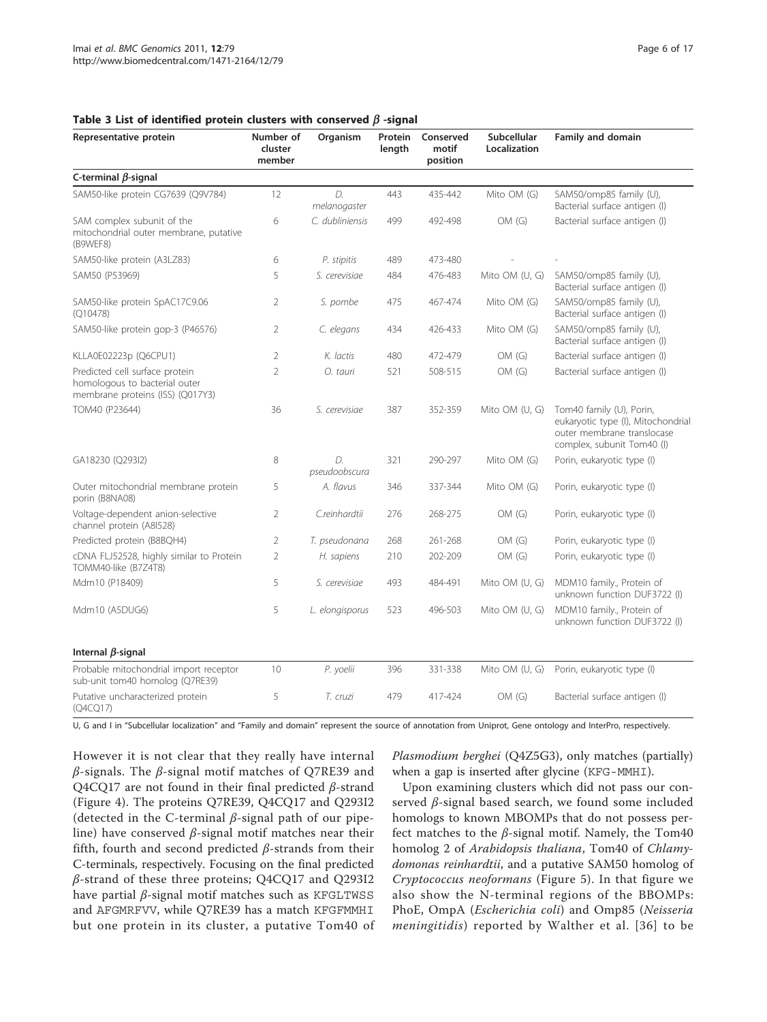Representative protein metal in the Number of

| Organism               | Protein<br>length | Conserved<br>motif<br>position | Subcellular<br>Localization | <b>Family and domain</b>                                 |
|------------------------|-------------------|--------------------------------|-----------------------------|----------------------------------------------------------|
|                        |                   |                                |                             |                                                          |
| $\Box$<br>nelanogaster | 443               | 435-442                        | Mito OM (G)                 | SAM50/omp85 family (U),<br>Bacterial surface antigen (I) |
| dubliniensis           | 499               | 492-498                        | OM(G)                       | Bacterial surface antigen (I)                            |

<span id="page-5-0"></span>Table 3 List of identified protein clusters with  $\epsilon$ 

cluster member

| C-terminal $\beta$ -signal                                                                          |                |                     |     |         |                |                                                                                                                            |
|-----------------------------------------------------------------------------------------------------|----------------|---------------------|-----|---------|----------------|----------------------------------------------------------------------------------------------------------------------------|
| SAM50-like protein CG7639 (Q9V784)                                                                  | 12             | D.<br>melanogaster  | 443 | 435-442 | Mito OM (G)    | SAM50/omp85 family (U),<br>Bacterial surface antigen (I)                                                                   |
| SAM complex subunit of the<br>mitochondrial outer membrane, putative<br>(B9WEF8)                    | 6              | C. dubliniensis     | 499 | 492-498 | OM(G)          | Bacterial surface antigen (I)                                                                                              |
| SAM50-like protein (A3LZ83)                                                                         | 6              | P. stipitis         | 489 | 473-480 |                |                                                                                                                            |
| SAM50 (P53969)                                                                                      | 5              | S. cerevisiae       | 484 | 476-483 | Mito OM (U, G) | SAM50/omp85 family (U),<br>Bacterial surface antigen (I)                                                                   |
| SAM50-like protein SpAC17C9.06<br>(Q10478)                                                          | $\overline{2}$ | S. pombe            | 475 | 467-474 | Mito OM (G)    | SAM50/omp85 family (U),<br>Bacterial surface antigen (I)                                                                   |
| SAM50-like protein gop-3 (P46576)                                                                   | 2              | C. elegans          | 434 | 426-433 | Mito OM (G)    | SAM50/omp85 family (U),<br>Bacterial surface antigen (I)                                                                   |
| KLLA0E02223p (Q6CPU1)                                                                               | 2              | K. lactis           | 480 | 472-479 | OM(G)          | Bacterial surface antigen (I)                                                                                              |
| Predicted cell surface protein<br>homologous to bacterial outer<br>membrane proteins (ISS) (Q017Y3) | $\overline{2}$ | O. tauri            | 521 | 508-515 | OM(G)          | Bacterial surface antigen (I)                                                                                              |
| TOM40 (P23644)                                                                                      | 36             | S. cerevisiae       | 387 | 352-359 | Mito OM (U, G) | Tom40 family (U), Porin,<br>eukaryotic type (I), Mitochondrial<br>outer membrane translocase<br>complex, subunit Tom40 (I) |
| GA18230 (Q293I2)                                                                                    | 8              | D.<br>pseudoobscura | 321 | 290-297 | Mito OM (G)    | Porin, eukaryotic type (I)                                                                                                 |
| Outer mitochondrial membrane protein<br>porin (B8NA08)                                              | 5              | A. flavus           | 346 | 337-344 | Mito OM (G)    | Porin, eukaryotic type (I)                                                                                                 |
| Voltage-dependent anion-selective<br>channel protein (A8I528)                                       | $\overline{2}$ | C.reinhardtii       | 276 | 268-275 | OM(G)          | Porin, eukaryotic type (I)                                                                                                 |
| Predicted protein (B8BQH4)                                                                          | 2              | T. pseudonana       | 268 | 261-268 | OM(G)          | Porin, eukaryotic type (I)                                                                                                 |
| cDNA FLJ52528, highly similar to Protein<br>TOMM40-like (B7Z4T8)                                    | $\overline{2}$ | H. sapiens          | 210 | 202-209 | OM(G)          | Porin, eukaryotic type (I)                                                                                                 |
| Mdm10 (P18409)                                                                                      | 5              | S. cerevisiae       | 493 | 484-491 | Mito OM (U, G) | MDM10 family., Protein of<br>unknown function DUF3722 (I)                                                                  |
| Mdm10 (A5DUG6)                                                                                      | 5              | L. elongisporus     | 523 | 496-503 | Mito OM (U, G) | MDM10 family., Protein of<br>unknown function DUF3722 (I)                                                                  |
| Internal $\beta$ -signal                                                                            |                |                     |     |         |                |                                                                                                                            |
| Probable mitochondrial import receptor<br>sub-unit tom40 homolog (Q7RE39)                           | 10             | P. yoelii           | 396 | 331-338 | Mito OM (U, G) | Porin, eukaryotic type (I)                                                                                                 |
| Putative uncharacterized protein<br>(Q4CQ17)                                                        | 5              | T. cruzi            | 479 | 417-424 | OM(G)          | Bacterial surface antigen (I)                                                                                              |

U, G and I in "Subcellular localization" and "Family and domain" represent the source of annotation from Uniprot, Gene ontology and InterPro, respectively.

However it is not clear that they really have internal β-signals. The β-signal motif matches of Q7RE39 and Q4CQ17 are not found in their final predicted  $\beta$ -strand (Figure [4\). The proteins Q7RE39, Q4CQ17 and Q293I2](#page-6-0) [\(detected in the C-terminal](#page-6-0) β-signal path of our pipeline) have conserved  $β$ [-signal motif matches near their](#page-6-0) [fifth, fourth and second predicted](#page-6-0)  $\beta$ -strands from their [C-terminals, respectively. Focusing on the final predicted](#page-6-0) β[-strand of these three proteins; Q4CQ17 and Q293I2](#page-6-0) have partial β[-signal motif matches such as](#page-6-0) KFGLTWSS and AFGMRFVV[, while Q7RE39 has a match](#page-6-0) KFGFMMHI [but one protein in its cluster, a putative Tom40 of](#page-6-0)

Plasmodium berghei [\(Q4Z5G3\), only matches \(partially\)](#page-6-0) [when a gap is inserted after glycine \(](#page-6-0)KFG-MMHI).

Upon examining clusters which did not pass our conserved β-signal based search, we found some included homologs to known MBOMPs that do not possess perfect matches to the  $\beta$ -signal motif. Namely, the Tom40 homolog 2 of Arabidopsis thaliana, Tom40 of Chlamydomonas reinhardtii, and a putative SAM50 homolog of Cryptococcus neoformans (Figure [5\). In that figure we](#page-6-0) [also show the N-terminal regions of the BBOMPs:](#page-6-0) PhoE, OmpA ([Escherichia coli](#page-6-0)) and Omp85 (Neisseria meningitidis) reported by Walther et al. [36] to be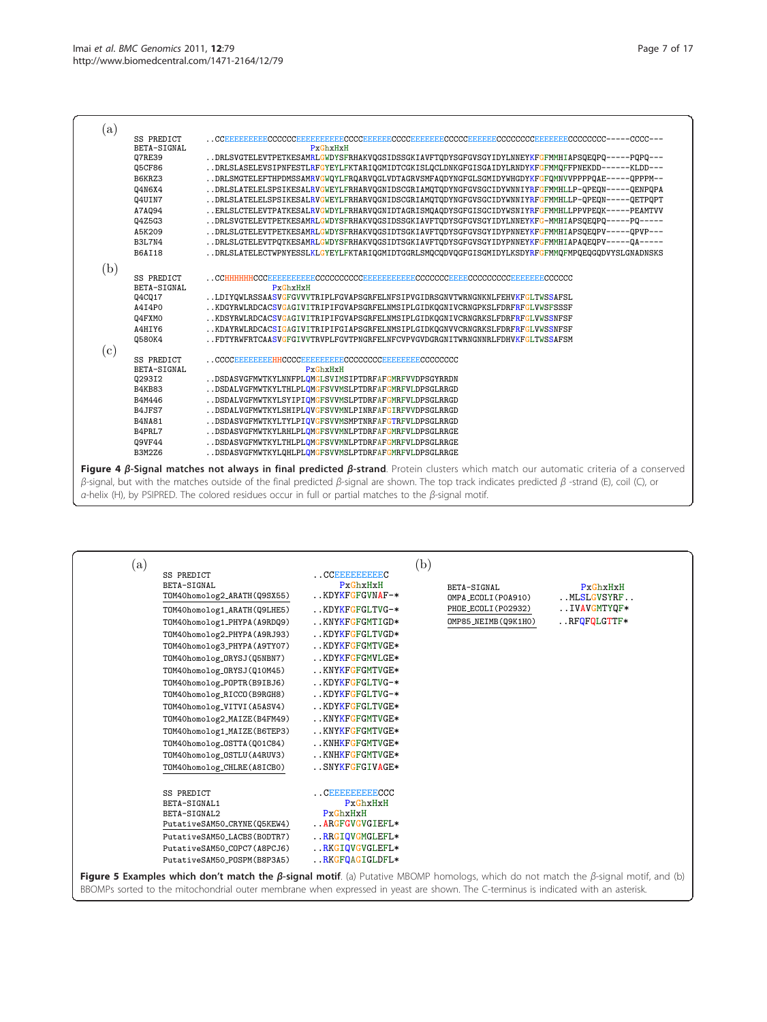<span id="page-6-0"></span>

| (a) |               |                                                                                                                                                                     |
|-----|---------------|---------------------------------------------------------------------------------------------------------------------------------------------------------------------|
|     | SS PREDICT    |                                                                                                                                                                     |
|     | BETA-SIGNAL   | $P \times G$ hxHxH                                                                                                                                                  |
|     | Q7RE39        | DRLSVGTELEVTPETKESAMRLGWDYSFRHAKVQGSIDSSGKIAVFTQDYSGFGVSGYIDYLNNEY <mark>KFGFMMHI</mark> APSQEQPQ-----PQPQ---                                                       |
|     | Q5CF86        | DRLSLASELEVSIPNFESTLRFGYEYLFKTARIQGMIDTCGKISLQCLDNKGFGISGAIDYLRNDYKFGFMMQFFPNEKDD------KLDD---                                                                      |
|     | B6KRZ3        | DRLSMGTELEFTHPDMSSAMRVGWQYLFRQARVQGLVDTAGRVSMFAQDYNGFGLSGMIDYWHGDYKFGFQMNVVPPPPQAE-----OPPPM--                                                                      |
|     | Q4N6X4        | DRLSLATELELSPSIKESALRVGWEYLFRHARVQGNIDSCGRIAMQTQDYNGFGVSGCIDYWNNIYRFGFMMHLLP-QPEQN-----QENPQPA                                                                      |
|     | Q4UIN7        | DRLSLATELELSPSIKESALRVGWEYLFRHARVQGNIDSCGRIAMQTQDYNGFGVSGCIDYWNNIY <mark>RFGFMMH</mark> LLP-QPEQN-----QETPQPT                                                       |
|     | A7A094        | ERLSLCTELEVTPATKESALRVGWDYLFRHARVQGNIDTAGRISMQAQDYSGFGISGCIDYWSNIYRFGFMMHLLPPVPEQK-----PEAMTVV                                                                      |
|     | Q4Z5G3        | DRLSVGTELEVTPETKESAMRLGWDYSFRHAKVQGSIDSSGKIAVFTQDYSGFGVSGYIDYLNNEYKFG-MMHIAPSQEQPQ-----PQ-----                                                                      |
|     | A5K209        | DRLSLGTELEVTPETKESAMRLGWDYSFRHAKVQGSIDTSGKIAVFTQDYSGFGVSGYIDYPNNEYKFGFMMHIAPSQEQPV-----QPVP---                                                                      |
|     | B3L7N4        | DRLSLGTELEVTPQTKESAMRLGWDYSFRHAKVQGSIDTSGKIAVFTQDYSGFGVSGYIDYPNNEYKFGFMMHIAPAQEQPV-----QA-----                                                                      |
|     | <b>B6AI18</b> | DRLSLATELECTWPNYESSLKLGYEYLFKTARIQGMIDTGGRLSMQCQDVQGFGISGMIDYLKSDYRFGFMMQFMPQEQGQDVYSLGNADNSKS                                                                      |
| (b) |               |                                                                                                                                                                     |
|     | SS PREDICT    | . . $\bf CCHHHHHHHCCCEEEBBBEEEECCCCCCCCEEBEBEEEEEEECECCCCCCEEEECCCCCCCEEEEEEEECCCCCCC$                                                                              |
|     | BETA-SIGNAL   | $P \times G$ h $\times H \times H$                                                                                                                                  |
|     | Q4CQ17        | LDIYQWLRSSAASVGFGVVVTRIPLFGVAPSGRFELNFSIPVGIDRSGNVTWRNGNKNLFEHVKFGLTWSSAFSL                                                                                         |
|     | A4I4P0        | KDGYRWLRDCACSVGAGIVITRIPIFGVAPSGRFELNMSIPLGIDKQGNIVCRNGPKSLFDRFRFGLVWSFSSSF                                                                                         |
|     | Q4FXMO        | KDSYRWLRDCACSVGAGIVITRIPIFGVAPSGRFELNMSIPLGIDKQGNIVCRNGRKSLFDRFRFGLVWSSNFSF                                                                                         |
|     | A4HIY6        | KDAYRWLRDCACSIGAGIVITRIPIFGIAPSGRFELNMSIPLGIDKQGNVVCRNGRKSLFDRFRFGLVWSSNFSF                                                                                         |
|     | 0580K4        | FDTYRWFRTCAASVGFGIVVTRVPLFGVTPNGRFELNFCVPVGVDGRGNITWRNGNNRLFDHVKFGLTWSSAFSM                                                                                         |
| (c) |               |                                                                                                                                                                     |
|     | SS PREDICT    |                                                                                                                                                                     |
|     | BETA-SIGNAL   | $P \times G$ h $\times H \times H$                                                                                                                                  |
|     | Q293I2        | DSDASVGFMWTKYLNNFPLOMGLSVIMSIPTDRFAFGMRFVVDPSGYRRDN                                                                                                                 |
|     | B4KB83        | DSDALVGFMWTKYLTHLPLOMGFSVVMSLPTDRFAFGMRFVLDPSGLRRGD                                                                                                                 |
|     | B4M446        | DSDALVGFMWTKYLSYIPIQMGFSVVMSLPTDRFAFGMRFVLDPSGLRRGD                                                                                                                 |
|     | B4JFS7        | DSDALVGFMWTKYLSHIPLQVGFSVVMNLPINRFAFGIRFVVDPSGLRRGD                                                                                                                 |
|     | <b>B4NA81</b> | DSDASVGFMWTKYLTYLPIQVGFSVVMSMPTNRFAFGTRFVLDPSGLRRGD                                                                                                                 |
|     | B4PRL7        | DSDASVGFMWTKYLRHLPLOMGFSVVMNLPTDRFAFGMRFVLDPSGLRRGE                                                                                                                 |
|     | Q9VF44        | DSDASVGFMWTKYLTHLPLOMGFSVVMNLPTDRFAFGMRFVLDPSGLRRGE                                                                                                                 |
|     | <b>B3M2Z6</b> | DSDASVGFMWTKYLQHLPLQMGFSVVMSLPTDRFAFGMRFVLDPSGLRRGE                                                                                                                 |
|     |               | Figure 4 $\beta$ -Signal matches not always in final predicted $\beta$ -strand. Protein clusters which match our automatic criteria of a conserved                  |
|     |               | $\beta$ -signal, but with the matches outside of the final predicted $\beta$ -signal are shown. The top track indicates predicted $\beta$ -strand (E), coil (C), or |
|     |               |                                                                                                                                                                     |
|     |               | $\alpha$ -helix (H), by PSIPRED. The colored residues occur in full or partial matches to the $\beta$ -signal motif.                                                |

| (a) |                                                                                                                                                                                                                                                                                                                                                                                                                                                                                                           |                                                                                                                                                                                                                                                                                                                               | (b) |                                                                                |                                                         |  |
|-----|-----------------------------------------------------------------------------------------------------------------------------------------------------------------------------------------------------------------------------------------------------------------------------------------------------------------------------------------------------------------------------------------------------------------------------------------------------------------------------------------------------------|-------------------------------------------------------------------------------------------------------------------------------------------------------------------------------------------------------------------------------------------------------------------------------------------------------------------------------|-----|--------------------------------------------------------------------------------|---------------------------------------------------------|--|
|     | <b>SS PREDICT</b><br>BETA-SIGNAL<br>TOM40homolog2_ARATH(Q9SX55)<br>TOM40homolog1_ARATH(Q9LHE5)<br>TOM40homolog1_PHYPA(A9RDQ9)<br>TOM40homolog2_PHYPA(A9RJ93)<br>TOM40homolog3_PHYPA(A9TY07)<br>TOM40homolog_ORYSJ(Q5NBN7)<br>TOM40homolog_ORYSJ(Q10M45)<br>TOM40homolog_POPTR(B9IBJ6)<br>T0M40homolog_RICCO(B9RGH8)<br>TOM40homolog_VITVI(A5ASV4)<br>TOM40homolog2_MAIZE(B4FM49)<br>TOM40homolog1_MAIZE(B6TEP3)<br>TOM40homolog_OSTTA(Q01C84)<br>TOM40homolog_OSTLU(A4RUV3)<br>TOM40homolog_CHLRE(A8ICB0) | $\ldots$ CCBBBBBBBBBC<br>$P$ x $G$ hx $H$ x $H$<br>KDYKFGFGVNAF-*<br>KDYKFGFGLTVG-*<br>KNYKFGFGMTIGD*<br>KDYKFGFGLTVGD*<br>KDYKFGFGMTVGE*<br>KDYKFGFGMVLGE*<br>KNYKFGFGMTVGE*<br>KDYKFGFGLTVG-*<br>KDYKFGFGLTVG-*<br>KDYKFGFGLTVGE*<br>KNYKFGFGMTVGE*<br>KNYKFGFGMTVGE*<br>KNHKFGFGMTVGE*<br>KNHKFGFGMTVGE*<br>SNYKFGFGIVAGE* |     | BETA-SIGNAL<br>OMPA_ECOLI(POA910)<br>PHOE_ECOLI(P02932)<br>OMP85_NEIMB(09K1HO) | PxGhxHxH<br>MLSLGVSYRF<br>IVAVGMTYQF*<br>$$ RFQFQLGTTF* |  |
|     | SS PREDICT<br>BETA-SIGNAL1<br>BETA-SIGNAL2<br>PutativeSAM50_CRYNE(Q5KEW4)<br>PutativeSAM50_LACBS(BODTR7)<br>PutativeSAM50_COPC7(A8PCJ6)<br>PutativeSAM50_POSPM(B8P3A5)                                                                                                                                                                                                                                                                                                                                    | $\ldots$ сынынынын ${\tt cccc}$<br>$P$ x $G$ hx $H$ x $H$<br>PxGhxHxH<br>ARGFGVGVGIEFL*<br>RRGIOVGMGLEFL*<br>RKGIQVGVGLEFL*<br>RKGFOAGIGLDFL*                                                                                                                                                                                 |     |                                                                                |                                                         |  |
|     | Figure 5 Examples which don't match the $\beta$ -signal motif. (a) Putative MBOMP homologs, which do not match the $\beta$ -signal motif, and (b)<br>BBOMPs sorted to the mitochondrial outer membrane when expressed in yeast are shown. The C-terminus is indicated with an asterisk.                                                                                                                                                                                                                   |                                                                                                                                                                                                                                                                                                                               |     |                                                                                |                                                         |  |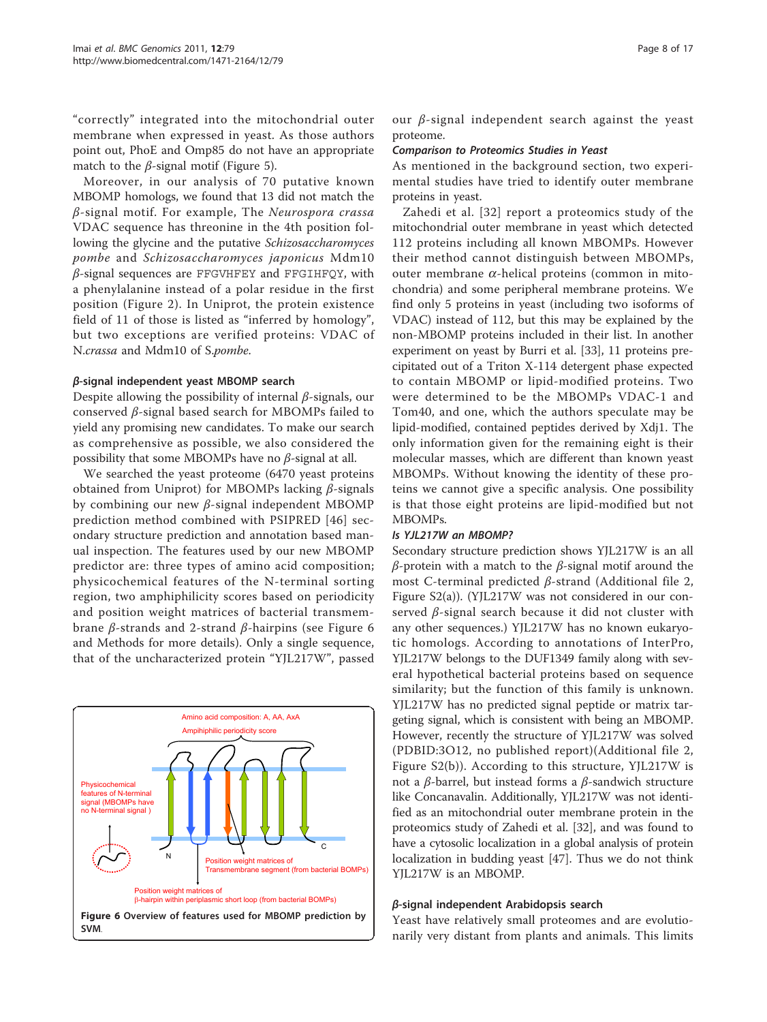<span id="page-7-0"></span>"correctly" integrated into the mitochondrial outer membrane when expressed in yeast. As those authors point out, PhoE and Omp85 do not have an appropriate match to the  $\beta$ -signal motif (Figure [5\).](#page-6-0)

Moreover, in our analysis of 70 putative known MBOMP homologs, we found that 13 did not match the  $\beta$ -signal motif. For example, The Neurospora crassa VDAC sequence has threonine in the 4th position following the glycine and the putative Schizosaccharomyces pombe and Schizosaccharomyces japonicus Mdm10  $\beta$ -signal sequences are FFGVHFEY and FFGIHFQY, with a phenylalanine instead of a polar residue in the first position (Figure [2\). In Uniprot, the protein existence](#page-2-0) [field of 11 of those is listed as](#page-2-0) "inferred by homology", [but two exceptions are verified proteins: VDAC of](#page-2-0) N.crassa [and Mdm10 of S.](#page-2-0)pombe.

#### β-signal independent yeast MBOMP search

Despite allowing the possibility of internal  $\beta$ -signals, our conserved β-signal based search for MBOMPs failed to yield any promising new candidates. To make our search as comprehensive as possible, we also considered the possibility that some MBOMPs have no  $\beta$ -signal at all.

We searched the yeast proteome (6470 yeast proteins obtained from Uniprot) for MBOMPs lacking  $β$ -signals by combining our new β-signal independent MBOMP prediction method combined with PSIPRED [46] secondary structure prediction and annotation based manual inspection. The features used by our new MBOMP predictor are: three types of amino acid composition; physicochemical features of the N-terminal sorting region, two amphiphilicity scores based on periodicity and position weight matrices of bacterial transmembrane β-strands and 2-strand β-hairpins (see Figure 6 and Methods for more details). Only a single sequence, that of the uncharacterized protein "YJL217W", passed



our  $\beta$ -signal independent search against the yeast proteome.

### Comparison to Proteomics Studies in Yeast

As mentioned in the background section, two experimental studies have tried to identify outer membrane proteins in yeast.

Zahedi et al. [32] report a proteomics study of the mitochondrial outer membrane in yeast which detected 112 proteins including all known MBOMPs. However their method cannot distinguish between MBOMPs, outer membrane  $\alpha$ -helical proteins (common in mitochondria) and some peripheral membrane proteins. We find only 5 proteins in yeast (including two isoforms of VDAC) instead of 112, but this may be explained by the non-MBOMP proteins included in their list. In another experiment on yeast by Burri et al. [33], 11 proteins precipitated out of a Triton X-114 detergent phase expected to contain MBOMP or lipid-modified proteins. Two were determined to be the MBOMPs VDAC-1 and Tom40, and one, which the authors speculate may be lipid-modified, contained peptides derived by Xdj1. The only information given for the remaining eight is their molecular masses, which are different than known yeast MBOMPs. Without knowing the identity of these proteins we cannot give a specific analysis. One possibility is that those eight proteins are lipid-modified but not MBOMPs.

#### Is YJL217W an MBOMP?

Secondary structure prediction shows YJL217W is an all  $β$ -protein with a match to the  $β$ -signal motif around the most C-terminal predicted β-strand (Additional file 2, Figure S2(a)). (YJL217W was not considered in our conserved β-signal search because it did not cluster with any other sequences.) YJL217W has no known eukaryotic homologs. According to annotations of InterPro, YJL217W belongs to the DUF1349 family along with several hypothetical bacterial proteins based on sequence similarity; but the function of this family is unknown. YJL217W has no predicted signal peptide or matrix targeting signal, which is consistent with being an MBOMP. However, recently the structure of YJL217W was solved (PDBID:3O12, no published report)(Additional file 2, Figure S2(b)). According to this structure, YJL217W is not a β-barrel, but instead forms a β-sandwich structure like Concanavalin. Additionally, YJL217W was not identified as an mitochondrial outer membrane protein in the proteomics study of Zahedi et al. [32], and was found to have a cytosolic localization in a global analysis of protein localization in budding yeast [47]. Thus we do not think YJL217W is an MBOMP.

#### β-signal independent Arabidopsis search

Yeast have relatively small proteomes and are evolutionarily very distant from plants and animals. This limits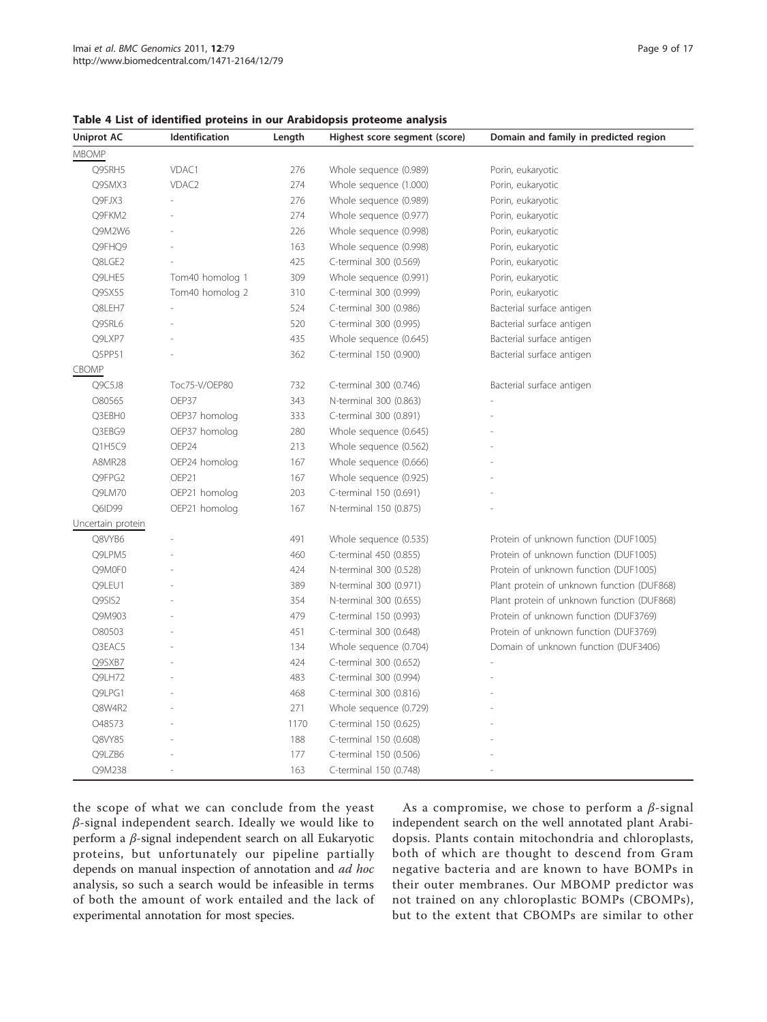#### <span id="page-8-0"></span>Table 4 List of identified proteins in our Arabidopsis proteome analysis

| <b>MBOMP</b><br>Q9SRH5<br>VDAC1<br>276<br>Whole sequence (0.989)<br>Porin, eukaryotic<br>VDAC <sub>2</sub><br>274<br>Whole sequence (1.000)<br>Porin, eukaryotic<br>Q9SMX3<br>Q9FJX3<br>276<br>Whole sequence (0.989)<br>Porin, eukaryotic<br>274<br>Q9FKM2<br>Whole sequence (0.977)<br>Porin, eukaryotic<br>Q9M2W6<br>226<br>Whole sequence (0.998)<br>Porin, eukaryotic<br>Q9FHQ9<br>163<br>Whole sequence (0.998)<br>Porin, eukaryotic<br>425<br>Q8LGE2<br>C-terminal 300 (0.569)<br>Porin, eukaryotic<br>Q9LHE5<br>309<br>Tom40 homolog 1<br>Whole sequence (0.991)<br>Porin, eukaryotic<br>Q9SX55<br>Tom40 homolog 2<br>310<br>C-terminal 300 (0.999)<br>Porin, eukaryotic<br>Q8LEH7<br>524<br>Bacterial surface antigen<br>C-terminal 300 (0.986)<br>Q9SRL6<br>520<br>Bacterial surface antigen<br>C-terminal 300 (0.995)<br>Q9LXP7<br>435<br>Whole sequence (0.645)<br>Bacterial surface antigen<br>362<br>Q5PP51<br>C-terminal 150 (0.900)<br>Bacterial surface antigen<br><b>CBOMP</b><br>Q9C5J8<br>732<br>Toc75-V/OEP80<br>C-terminal 300 (0.746)<br>Bacterial surface antigen<br>O80565<br>OEP37<br>343<br>N-terminal 300 (0.863)<br>Q3EBH0<br>333<br>OEP37 homolog<br>C-terminal 300 (0.891)<br>Q3EBG9<br>OEP37 homolog<br>280<br>Whole sequence (0.645)<br>OEP24<br>Q1H5C9<br>213<br>Whole sequence (0.562)<br><b>A8MR28</b><br>OEP24 homolog<br>167<br>Whole sequence (0.666)<br>Q9FPG2<br>OEP21<br>167<br>Whole sequence (0.925)<br>OEP21 homolog<br>203<br>Q9LM70<br>C-terminal 150 (0.691)<br>Q6ID99<br>OEP21 homolog<br>167<br>N-terminal 150 (0.875)<br>Q8VYB6<br>491<br>Whole sequence (0.535)<br>Protein of unknown function (DUF1005)<br>Q9LPM5<br>C-terminal 450 (0.855)<br>Protein of unknown function (DUF1005)<br>460<br>Q9M0F0<br>424<br>N-terminal 300 (0.528)<br>Protein of unknown function (DUF1005)<br>Q9LEU1<br>389<br>Plant protein of unknown function (DUF868)<br>N-terminal 300 (0.971)<br>Q9SIS2<br>354<br>N-terminal 300 (0.655)<br>Plant protein of unknown function (DUF868)<br>479<br>Protein of unknown function (DUF3769)<br>Q9M903<br>C-terminal 150 (0.993)<br>O80503<br>451<br>Protein of unknown function (DUF3769)<br>C-terminal 300 (0.648)<br>Q3EAC5<br>134<br>Whole sequence (0.704)<br>Domain of unknown function (DUF3406)<br>424<br>C-terminal 300 (0.652)<br>Q9SXB7<br>483<br>Q9LH72<br>C-terminal 300 (0.994) | <b>Uniprot AC</b> | Identification | Length | Highest score segment (score) | Domain and family in predicted region |
|-------------------------------------------------------------------------------------------------------------------------------------------------------------------------------------------------------------------------------------------------------------------------------------------------------------------------------------------------------------------------------------------------------------------------------------------------------------------------------------------------------------------------------------------------------------------------------------------------------------------------------------------------------------------------------------------------------------------------------------------------------------------------------------------------------------------------------------------------------------------------------------------------------------------------------------------------------------------------------------------------------------------------------------------------------------------------------------------------------------------------------------------------------------------------------------------------------------------------------------------------------------------------------------------------------------------------------------------------------------------------------------------------------------------------------------------------------------------------------------------------------------------------------------------------------------------------------------------------------------------------------------------------------------------------------------------------------------------------------------------------------------------------------------------------------------------------------------------------------------------------------------------------------------------------------------------------------------------------------------------------------------------------------------------------------------------------------------------------------------------------------------------------------------------------------------------------------------------------------------------------------------------------------------------------------------------------------------------------------------------------|-------------------|----------------|--------|-------------------------------|---------------------------------------|
|                                                                                                                                                                                                                                                                                                                                                                                                                                                                                                                                                                                                                                                                                                                                                                                                                                                                                                                                                                                                                                                                                                                                                                                                                                                                                                                                                                                                                                                                                                                                                                                                                                                                                                                                                                                                                                                                                                                                                                                                                                                                                                                                                                                                                                                                                                                                                                         |                   |                |        |                               |                                       |
|                                                                                                                                                                                                                                                                                                                                                                                                                                                                                                                                                                                                                                                                                                                                                                                                                                                                                                                                                                                                                                                                                                                                                                                                                                                                                                                                                                                                                                                                                                                                                                                                                                                                                                                                                                                                                                                                                                                                                                                                                                                                                                                                                                                                                                                                                                                                                                         |                   |                |        |                               |                                       |
|                                                                                                                                                                                                                                                                                                                                                                                                                                                                                                                                                                                                                                                                                                                                                                                                                                                                                                                                                                                                                                                                                                                                                                                                                                                                                                                                                                                                                                                                                                                                                                                                                                                                                                                                                                                                                                                                                                                                                                                                                                                                                                                                                                                                                                                                                                                                                                         |                   |                |        |                               |                                       |
|                                                                                                                                                                                                                                                                                                                                                                                                                                                                                                                                                                                                                                                                                                                                                                                                                                                                                                                                                                                                                                                                                                                                                                                                                                                                                                                                                                                                                                                                                                                                                                                                                                                                                                                                                                                                                                                                                                                                                                                                                                                                                                                                                                                                                                                                                                                                                                         |                   |                |        |                               |                                       |
|                                                                                                                                                                                                                                                                                                                                                                                                                                                                                                                                                                                                                                                                                                                                                                                                                                                                                                                                                                                                                                                                                                                                                                                                                                                                                                                                                                                                                                                                                                                                                                                                                                                                                                                                                                                                                                                                                                                                                                                                                                                                                                                                                                                                                                                                                                                                                                         |                   |                |        |                               |                                       |
|                                                                                                                                                                                                                                                                                                                                                                                                                                                                                                                                                                                                                                                                                                                                                                                                                                                                                                                                                                                                                                                                                                                                                                                                                                                                                                                                                                                                                                                                                                                                                                                                                                                                                                                                                                                                                                                                                                                                                                                                                                                                                                                                                                                                                                                                                                                                                                         |                   |                |        |                               |                                       |
|                                                                                                                                                                                                                                                                                                                                                                                                                                                                                                                                                                                                                                                                                                                                                                                                                                                                                                                                                                                                                                                                                                                                                                                                                                                                                                                                                                                                                                                                                                                                                                                                                                                                                                                                                                                                                                                                                                                                                                                                                                                                                                                                                                                                                                                                                                                                                                         |                   |                |        |                               |                                       |
|                                                                                                                                                                                                                                                                                                                                                                                                                                                                                                                                                                                                                                                                                                                                                                                                                                                                                                                                                                                                                                                                                                                                                                                                                                                                                                                                                                                                                                                                                                                                                                                                                                                                                                                                                                                                                                                                                                                                                                                                                                                                                                                                                                                                                                                                                                                                                                         |                   |                |        |                               |                                       |
|                                                                                                                                                                                                                                                                                                                                                                                                                                                                                                                                                                                                                                                                                                                                                                                                                                                                                                                                                                                                                                                                                                                                                                                                                                                                                                                                                                                                                                                                                                                                                                                                                                                                                                                                                                                                                                                                                                                                                                                                                                                                                                                                                                                                                                                                                                                                                                         |                   |                |        |                               |                                       |
|                                                                                                                                                                                                                                                                                                                                                                                                                                                                                                                                                                                                                                                                                                                                                                                                                                                                                                                                                                                                                                                                                                                                                                                                                                                                                                                                                                                                                                                                                                                                                                                                                                                                                                                                                                                                                                                                                                                                                                                                                                                                                                                                                                                                                                                                                                                                                                         |                   |                |        |                               |                                       |
|                                                                                                                                                                                                                                                                                                                                                                                                                                                                                                                                                                                                                                                                                                                                                                                                                                                                                                                                                                                                                                                                                                                                                                                                                                                                                                                                                                                                                                                                                                                                                                                                                                                                                                                                                                                                                                                                                                                                                                                                                                                                                                                                                                                                                                                                                                                                                                         |                   |                |        |                               |                                       |
|                                                                                                                                                                                                                                                                                                                                                                                                                                                                                                                                                                                                                                                                                                                                                                                                                                                                                                                                                                                                                                                                                                                                                                                                                                                                                                                                                                                                                                                                                                                                                                                                                                                                                                                                                                                                                                                                                                                                                                                                                                                                                                                                                                                                                                                                                                                                                                         |                   |                |        |                               |                                       |
|                                                                                                                                                                                                                                                                                                                                                                                                                                                                                                                                                                                                                                                                                                                                                                                                                                                                                                                                                                                                                                                                                                                                                                                                                                                                                                                                                                                                                                                                                                                                                                                                                                                                                                                                                                                                                                                                                                                                                                                                                                                                                                                                                                                                                                                                                                                                                                         |                   |                |        |                               |                                       |
|                                                                                                                                                                                                                                                                                                                                                                                                                                                                                                                                                                                                                                                                                                                                                                                                                                                                                                                                                                                                                                                                                                                                                                                                                                                                                                                                                                                                                                                                                                                                                                                                                                                                                                                                                                                                                                                                                                                                                                                                                                                                                                                                                                                                                                                                                                                                                                         |                   |                |        |                               |                                       |
|                                                                                                                                                                                                                                                                                                                                                                                                                                                                                                                                                                                                                                                                                                                                                                                                                                                                                                                                                                                                                                                                                                                                                                                                                                                                                                                                                                                                                                                                                                                                                                                                                                                                                                                                                                                                                                                                                                                                                                                                                                                                                                                                                                                                                                                                                                                                                                         |                   |                |        |                               |                                       |
|                                                                                                                                                                                                                                                                                                                                                                                                                                                                                                                                                                                                                                                                                                                                                                                                                                                                                                                                                                                                                                                                                                                                                                                                                                                                                                                                                                                                                                                                                                                                                                                                                                                                                                                                                                                                                                                                                                                                                                                                                                                                                                                                                                                                                                                                                                                                                                         |                   |                |        |                               |                                       |
|                                                                                                                                                                                                                                                                                                                                                                                                                                                                                                                                                                                                                                                                                                                                                                                                                                                                                                                                                                                                                                                                                                                                                                                                                                                                                                                                                                                                                                                                                                                                                                                                                                                                                                                                                                                                                                                                                                                                                                                                                                                                                                                                                                                                                                                                                                                                                                         |                   |                |        |                               |                                       |
|                                                                                                                                                                                                                                                                                                                                                                                                                                                                                                                                                                                                                                                                                                                                                                                                                                                                                                                                                                                                                                                                                                                                                                                                                                                                                                                                                                                                                                                                                                                                                                                                                                                                                                                                                                                                                                                                                                                                                                                                                                                                                                                                                                                                                                                                                                                                                                         |                   |                |        |                               |                                       |
|                                                                                                                                                                                                                                                                                                                                                                                                                                                                                                                                                                                                                                                                                                                                                                                                                                                                                                                                                                                                                                                                                                                                                                                                                                                                                                                                                                                                                                                                                                                                                                                                                                                                                                                                                                                                                                                                                                                                                                                                                                                                                                                                                                                                                                                                                                                                                                         |                   |                |        |                               |                                       |
|                                                                                                                                                                                                                                                                                                                                                                                                                                                                                                                                                                                                                                                                                                                                                                                                                                                                                                                                                                                                                                                                                                                                                                                                                                                                                                                                                                                                                                                                                                                                                                                                                                                                                                                                                                                                                                                                                                                                                                                                                                                                                                                                                                                                                                                                                                                                                                         |                   |                |        |                               |                                       |
|                                                                                                                                                                                                                                                                                                                                                                                                                                                                                                                                                                                                                                                                                                                                                                                                                                                                                                                                                                                                                                                                                                                                                                                                                                                                                                                                                                                                                                                                                                                                                                                                                                                                                                                                                                                                                                                                                                                                                                                                                                                                                                                                                                                                                                                                                                                                                                         |                   |                |        |                               |                                       |
|                                                                                                                                                                                                                                                                                                                                                                                                                                                                                                                                                                                                                                                                                                                                                                                                                                                                                                                                                                                                                                                                                                                                                                                                                                                                                                                                                                                                                                                                                                                                                                                                                                                                                                                                                                                                                                                                                                                                                                                                                                                                                                                                                                                                                                                                                                                                                                         |                   |                |        |                               |                                       |
|                                                                                                                                                                                                                                                                                                                                                                                                                                                                                                                                                                                                                                                                                                                                                                                                                                                                                                                                                                                                                                                                                                                                                                                                                                                                                                                                                                                                                                                                                                                                                                                                                                                                                                                                                                                                                                                                                                                                                                                                                                                                                                                                                                                                                                                                                                                                                                         |                   |                |        |                               |                                       |
|                                                                                                                                                                                                                                                                                                                                                                                                                                                                                                                                                                                                                                                                                                                                                                                                                                                                                                                                                                                                                                                                                                                                                                                                                                                                                                                                                                                                                                                                                                                                                                                                                                                                                                                                                                                                                                                                                                                                                                                                                                                                                                                                                                                                                                                                                                                                                                         |                   |                |        |                               |                                       |
|                                                                                                                                                                                                                                                                                                                                                                                                                                                                                                                                                                                                                                                                                                                                                                                                                                                                                                                                                                                                                                                                                                                                                                                                                                                                                                                                                                                                                                                                                                                                                                                                                                                                                                                                                                                                                                                                                                                                                                                                                                                                                                                                                                                                                                                                                                                                                                         | Uncertain protein |                |        |                               |                                       |
|                                                                                                                                                                                                                                                                                                                                                                                                                                                                                                                                                                                                                                                                                                                                                                                                                                                                                                                                                                                                                                                                                                                                                                                                                                                                                                                                                                                                                                                                                                                                                                                                                                                                                                                                                                                                                                                                                                                                                                                                                                                                                                                                                                                                                                                                                                                                                                         |                   |                |        |                               |                                       |
|                                                                                                                                                                                                                                                                                                                                                                                                                                                                                                                                                                                                                                                                                                                                                                                                                                                                                                                                                                                                                                                                                                                                                                                                                                                                                                                                                                                                                                                                                                                                                                                                                                                                                                                                                                                                                                                                                                                                                                                                                                                                                                                                                                                                                                                                                                                                                                         |                   |                |        |                               |                                       |
|                                                                                                                                                                                                                                                                                                                                                                                                                                                                                                                                                                                                                                                                                                                                                                                                                                                                                                                                                                                                                                                                                                                                                                                                                                                                                                                                                                                                                                                                                                                                                                                                                                                                                                                                                                                                                                                                                                                                                                                                                                                                                                                                                                                                                                                                                                                                                                         |                   |                |        |                               |                                       |
|                                                                                                                                                                                                                                                                                                                                                                                                                                                                                                                                                                                                                                                                                                                                                                                                                                                                                                                                                                                                                                                                                                                                                                                                                                                                                                                                                                                                                                                                                                                                                                                                                                                                                                                                                                                                                                                                                                                                                                                                                                                                                                                                                                                                                                                                                                                                                                         |                   |                |        |                               |                                       |
|                                                                                                                                                                                                                                                                                                                                                                                                                                                                                                                                                                                                                                                                                                                                                                                                                                                                                                                                                                                                                                                                                                                                                                                                                                                                                                                                                                                                                                                                                                                                                                                                                                                                                                                                                                                                                                                                                                                                                                                                                                                                                                                                                                                                                                                                                                                                                                         |                   |                |        |                               |                                       |
|                                                                                                                                                                                                                                                                                                                                                                                                                                                                                                                                                                                                                                                                                                                                                                                                                                                                                                                                                                                                                                                                                                                                                                                                                                                                                                                                                                                                                                                                                                                                                                                                                                                                                                                                                                                                                                                                                                                                                                                                                                                                                                                                                                                                                                                                                                                                                                         |                   |                |        |                               |                                       |
|                                                                                                                                                                                                                                                                                                                                                                                                                                                                                                                                                                                                                                                                                                                                                                                                                                                                                                                                                                                                                                                                                                                                                                                                                                                                                                                                                                                                                                                                                                                                                                                                                                                                                                                                                                                                                                                                                                                                                                                                                                                                                                                                                                                                                                                                                                                                                                         |                   |                |        |                               |                                       |
|                                                                                                                                                                                                                                                                                                                                                                                                                                                                                                                                                                                                                                                                                                                                                                                                                                                                                                                                                                                                                                                                                                                                                                                                                                                                                                                                                                                                                                                                                                                                                                                                                                                                                                                                                                                                                                                                                                                                                                                                                                                                                                                                                                                                                                                                                                                                                                         |                   |                |        |                               |                                       |
|                                                                                                                                                                                                                                                                                                                                                                                                                                                                                                                                                                                                                                                                                                                                                                                                                                                                                                                                                                                                                                                                                                                                                                                                                                                                                                                                                                                                                                                                                                                                                                                                                                                                                                                                                                                                                                                                                                                                                                                                                                                                                                                                                                                                                                                                                                                                                                         |                   |                |        |                               |                                       |
|                                                                                                                                                                                                                                                                                                                                                                                                                                                                                                                                                                                                                                                                                                                                                                                                                                                                                                                                                                                                                                                                                                                                                                                                                                                                                                                                                                                                                                                                                                                                                                                                                                                                                                                                                                                                                                                                                                                                                                                                                                                                                                                                                                                                                                                                                                                                                                         |                   |                |        |                               |                                       |
| Q9LPG1<br>468<br>C-terminal 300 (0.816)                                                                                                                                                                                                                                                                                                                                                                                                                                                                                                                                                                                                                                                                                                                                                                                                                                                                                                                                                                                                                                                                                                                                                                                                                                                                                                                                                                                                                                                                                                                                                                                                                                                                                                                                                                                                                                                                                                                                                                                                                                                                                                                                                                                                                                                                                                                                 |                   |                |        |                               |                                       |
| Q8W4R2<br>271<br>Whole sequence (0.729)                                                                                                                                                                                                                                                                                                                                                                                                                                                                                                                                                                                                                                                                                                                                                                                                                                                                                                                                                                                                                                                                                                                                                                                                                                                                                                                                                                                                                                                                                                                                                                                                                                                                                                                                                                                                                                                                                                                                                                                                                                                                                                                                                                                                                                                                                                                                 |                   |                |        |                               |                                       |
| O48573<br>1170<br>C-terminal 150 (0.625)                                                                                                                                                                                                                                                                                                                                                                                                                                                                                                                                                                                                                                                                                                                                                                                                                                                                                                                                                                                                                                                                                                                                                                                                                                                                                                                                                                                                                                                                                                                                                                                                                                                                                                                                                                                                                                                                                                                                                                                                                                                                                                                                                                                                                                                                                                                                |                   |                |        |                               |                                       |
| Q8VY85<br>188<br>C-terminal 150 (0.608)                                                                                                                                                                                                                                                                                                                                                                                                                                                                                                                                                                                                                                                                                                                                                                                                                                                                                                                                                                                                                                                                                                                                                                                                                                                                                                                                                                                                                                                                                                                                                                                                                                                                                                                                                                                                                                                                                                                                                                                                                                                                                                                                                                                                                                                                                                                                 |                   |                |        |                               |                                       |
| Q9LZB6<br>177<br>C-terminal 150 (0.506)                                                                                                                                                                                                                                                                                                                                                                                                                                                                                                                                                                                                                                                                                                                                                                                                                                                                                                                                                                                                                                                                                                                                                                                                                                                                                                                                                                                                                                                                                                                                                                                                                                                                                                                                                                                                                                                                                                                                                                                                                                                                                                                                                                                                                                                                                                                                 |                   |                |        |                               |                                       |
| Q9M238<br>163<br>C-terminal 150 (0.748)<br>÷.                                                                                                                                                                                                                                                                                                                                                                                                                                                                                                                                                                                                                                                                                                                                                                                                                                                                                                                                                                                                                                                                                                                                                                                                                                                                                                                                                                                                                                                                                                                                                                                                                                                                                                                                                                                                                                                                                                                                                                                                                                                                                                                                                                                                                                                                                                                           |                   |                |        |                               |                                       |

the scope of what we can conclude from the yeast  $\beta$ -signal independent search. Ideally we would like to perform a β-signal independent search on all Eukaryotic proteins, but unfortunately our pipeline partially depends on manual inspection of annotation and ad hoc analysis, so such a search would be infeasible in terms of both the amount of work entailed and the lack of experimental annotation for most species.

As a compromise, we chose to perform a  $\beta$ -signal independent search on the well annotated plant Arabidopsis. Plants contain mitochondria and chloroplasts, both of which are thought to descend from Gram negative bacteria and are known to have BOMPs in their outer membranes. Our MBOMP predictor was not trained on any chloroplastic BOMPs (CBOMPs), but to the extent that CBOMPs are similar to other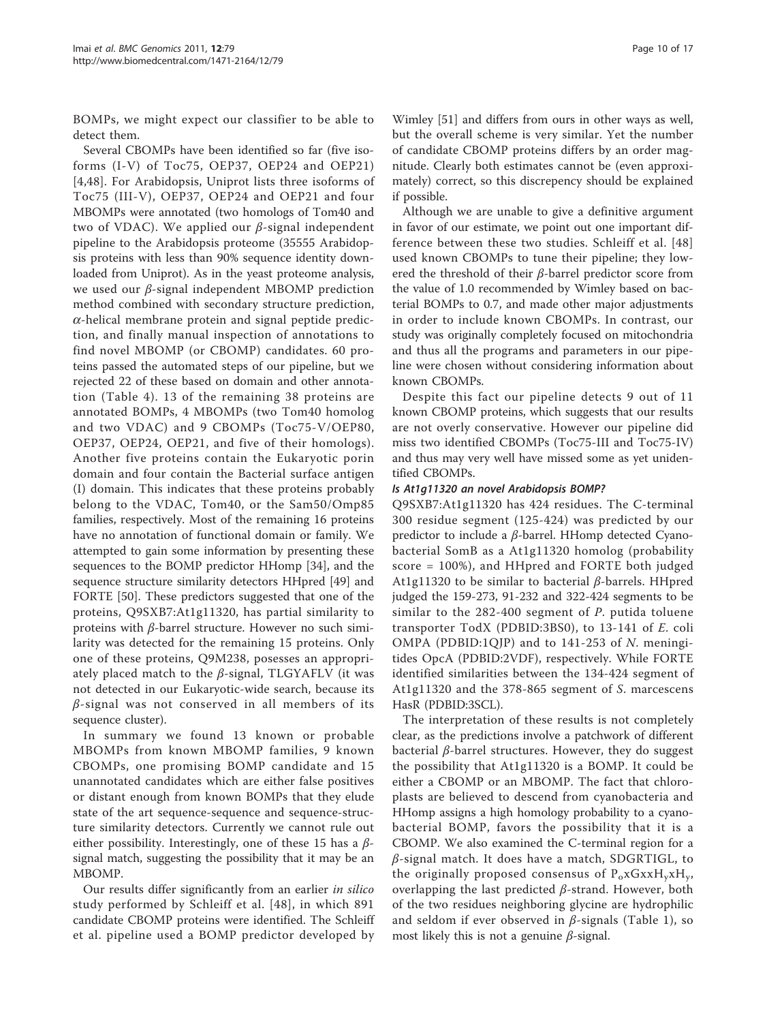BOMPs, we might expect our classifier to be able to detect them.

Several CBOMPs have been identified so far (five isoforms (I-V) of Toc75, OEP37, OEP24 and OEP21) [4,48]. For Arabidopsis, Uniprot lists three isoforms of Toc75 (III-V), OEP37, OEP24 and OEP21 and four MBOMPs were annotated (two homologs of Tom40 and two of VDAC). We applied our  $β$ -signal independent pipeline to the Arabidopsis proteome (35555 Arabidopsis proteins with less than 90% sequence identity downloaded from Uniprot). As in the yeast proteome analysis, we used our  $β$ -signal independent MBOMP prediction method combined with secondary structure prediction,  $\alpha$ -helical membrane protein and signal peptide prediction, and finally manual inspection of annotations to find novel MBOMP (or CBOMP) candidates. 60 proteins passed the automated steps of our pipeline, but we rejected 22 of these based on domain and other annotation (Table [4\). 13 of the remaining 38 proteins are](#page-8-0) [annotated BOMPs, 4 MBOMPs \(two Tom40 homolog](#page-8-0) [and two VDAC\) and 9 CBOMPs \(Toc75-V/OEP80,](#page-8-0) [OEP37, OEP24, OEP21, and five of their homologs\).](#page-8-0) [Another five proteins contain the Eukaryotic porin](#page-8-0) [domain and four contain the Bacterial surface antigen](#page-8-0) [\(I\) domain. This indicates that these proteins probably](#page-8-0) [belong to the VDAC, Tom40, or the Sam50/Omp85](#page-8-0) [families, respectively. Most of the remaining 16 proteins](#page-8-0) [have no annotation of functional domain or family. We](#page-8-0) [attempted to gain some information by presenting these](#page-8-0) sequences to the BOMP predictor HHomp [34], and the sequence structure similarity detectors HHpred [49] and FORTE [50]. These predictors suggested that one of the proteins, Q9SXB7:At1g11320, has partial similarity to proteins with β-barrel structure. However no such similarity was detected for the remaining 15 proteins. Only one of these proteins, Q9M238, posesses an appropriately placed match to the  $\beta$ -signal, TLGYAFLV (it was not detected in our Eukaryotic-wide search, because its  $\beta$ -signal was not conserved in all members of its sequence cluster).

In summary we found 13 known or probable MBOMPs from known MBOMP families, 9 known CBOMPs, one promising BOMP candidate and 15 unannotated candidates which are either false positives or distant enough from known BOMPs that they elude state of the art sequence-sequence and sequence-structure similarity detectors. Currently we cannot rule out either possibility. Interestingly, one of these 15 has a  $\beta$ signal match, suggesting the possibility that it may be an MBOMP.

Our results differ significantly from an earlier in silico study performed by Schleiff et al. [48], in which 891 candidate CBOMP proteins were identified. The Schleiff et al. pipeline used a BOMP predictor developed by

Wimley [51] and differs from ours in other ways as well, but the overall scheme is very similar. Yet the number of candidate CBOMP proteins differs by an order magnitude. Clearly both estimates cannot be (even approximately) correct, so this discrepency should be explained if possible.

Although we are unable to give a definitive argument in favor of our estimate, we point out one important difference between these two studies. Schleiff et al. [48] used known CBOMPs to tune their pipeline; they lowered the threshold of their  $\beta$ -barrel predictor score from the value of 1.0 recommended by Wimley based on bacterial BOMPs to 0.7, and made other major adjustments in order to include known CBOMPs. In contrast, our study was originally completely focused on mitochondria and thus all the programs and parameters in our pipeline were chosen without considering information about known CBOMPs.

Despite this fact our pipeline detects 9 out of 11 known CBOMP proteins, which suggests that our results are not overly conservative. However our pipeline did miss two identified CBOMPs (Toc75-III and Toc75-IV) and thus may very well have missed some as yet unidentified CBOMPs.

#### Is At1g11320 an novel Arabidopsis BOMP?

Q9SXB7:At1g11320 has 424 residues. The C-terminal 300 residue segment (125-424) was predicted by our predictor to include a  $β$ -barrel. HHomp detected Cyanobacterial SomB as a At1g11320 homolog (probability score = 100%), and HHpred and FORTE both judged At1g11320 to be similar to bacterial β-barrels. HHpred judged the 159-273, 91-232 and 322-424 segments to be similar to the 282-400 segment of P. putida toluene transporter TodX (PDBID:3BS0), to 13-141 of E. coli OMPA (PDBID:1QJP) and to 141-253 of N. meningitides OpcA (PDBID:2VDF), respectively. While FORTE identified similarities between the 134-424 segment of At1g11320 and the 378-865 segment of S. marcescens HasR (PDBID:3SCL).

The interpretation of these results is not completely clear, as the predictions involve a patchwork of different bacterial  $\beta$ -barrel structures. However, they do suggest the possibility that At1g11320 is a BOMP. It could be either a CBOMP or an MBOMP. The fact that chloroplasts are believed to descend from cyanobacteria and HHomp assigns a high homology probability to a cyanobacterial BOMP, favors the possibility that it is a CBOMP. We also examined the C-terminal region for a  $\beta$ -signal match. It does have a match, SDGRTIGL, to the originally proposed consensus of  $P_oxGxxH_yxH_y$ , overlapping the last predicted  $β$ -strand. However, both of the two residues neighboring glycine are hydrophilic and seldom if ever observed in  $\beta$ -signals (Table [1\), so](#page-3-0) [most likely this is not a genuine](#page-3-0)  $\beta$ -signal.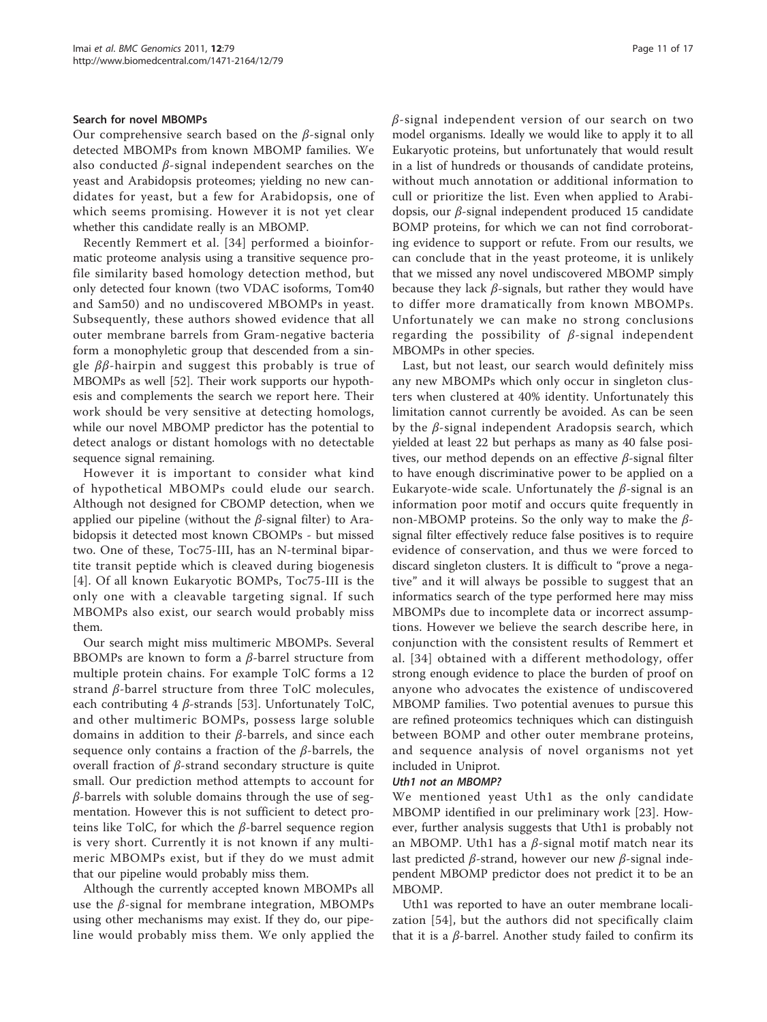#### Search for novel MBOMPs

Our comprehensive search based on the  $\beta$ -signal only detected MBOMPs from known MBOMP families. We also conducted  $\beta$ -signal independent searches on the yeast and Arabidopsis proteomes; yielding no new candidates for yeast, but a few for Arabidopsis, one of which seems promising. However it is not yet clear whether this candidate really is an MBOMP.

Recently Remmert et al. [34] performed a bioinformatic proteome analysis using a transitive sequence profile similarity based homology detection method, but only detected four known (two VDAC isoforms, Tom40 and Sam50) and no undiscovered MBOMPs in yeast. Subsequently, these authors showed evidence that all outer membrane barrels from Gram-negative bacteria form a monophyletic group that descended from a single  $\beta\beta$ -hairpin and suggest this probably is true of MBOMPs as well [52]. Their work supports our hypothesis and complements the search we report here. Their work should be very sensitive at detecting homologs, while our novel MBOMP predictor has the potential to detect analogs or distant homologs with no detectable sequence signal remaining.

However it is important to consider what kind of hypothetical MBOMPs could elude our search. Although not designed for CBOMP detection, when we applied our pipeline (without the  $\beta$ -signal filter) to Arabidopsis it detected most known CBOMPs - but missed two. One of these, Toc75-III, has an N-terminal bipartite transit peptide which is cleaved during biogenesis [4]. Of all known Eukaryotic BOMPs, Toc75-III is the only one with a cleavable targeting signal. If such MBOMPs also exist, our search would probably miss them.

Our search might miss multimeric MBOMPs. Several BBOMPs are known to form a  $β$ -barrel structure from multiple protein chains. For example TolC forms a 12 strand  $β$ -barrel structure from three TolC molecules, each contributing  $4 \beta$ -strands [53]. Unfortunately TolC, and other multimeric BOMPs, possess large soluble domains in addition to their  $β$ -barrels, and since each sequence only contains a fraction of the  $\beta$ -barrels, the overall fraction of  $β$ -strand secondary structure is quite small. Our prediction method attempts to account for  $\beta$ -barrels with soluble domains through the use of segmentation. However this is not sufficient to detect proteins like TolC, for which the  $β$ -barrel sequence region is very short. Currently it is not known if any multimeric MBOMPs exist, but if they do we must admit that our pipeline would probably miss them.

Although the currently accepted known MBOMPs all use the  $β$ -signal for membrane integration, MBOMPs using other mechanisms may exist. If they do, our pipeline would probably miss them. We only applied the  $\beta$ -signal independent version of our search on two model organisms. Ideally we would like to apply it to all Eukaryotic proteins, but unfortunately that would result in a list of hundreds or thousands of candidate proteins, without much annotation or additional information to cull or prioritize the list. Even when applied to Arabidopsis, our β-signal independent produced 15 candidate BOMP proteins, for which we can not find corroborating evidence to support or refute. From our results, we can conclude that in the yeast proteome, it is unlikely that we missed any novel undiscovered MBOMP simply because they lack  $\beta$ -signals, but rather they would have to differ more dramatically from known MBOMPs. Unfortunately we can make no strong conclusions regarding the possibility of  $\beta$ -signal independent MBOMPs in other species.

Last, but not least, our search would definitely miss any new MBOMPs which only occur in singleton clusters when clustered at 40% identity. Unfortunately this limitation cannot currently be avoided. As can be seen by the β-signal independent Aradopsis search, which yielded at least 22 but perhaps as many as 40 false positives, our method depends on an effective β-signal filter to have enough discriminative power to be applied on a Eukaryote-wide scale. Unfortunately the  $\beta$ -signal is an information poor motif and occurs quite frequently in non-MBOMP proteins. So the only way to make the  $β$ signal filter effectively reduce false positives is to require evidence of conservation, and thus we were forced to discard singleton clusters. It is difficult to "prove a negative" and it will always be possible to suggest that an informatics search of the type performed here may miss MBOMPs due to incomplete data or incorrect assumptions. However we believe the search describe here, in conjunction with the consistent results of Remmert et al. [34] obtained with a different methodology, offer strong enough evidence to place the burden of proof on anyone who advocates the existence of undiscovered MBOMP families. Two potential avenues to pursue this are refined proteomics techniques which can distinguish between BOMP and other outer membrane proteins, and sequence analysis of novel organisms not yet included in Uniprot.

#### Uth1 not an MBOMP?

We mentioned yeast Uth1 as the only candidate MBOMP identified in our preliminary work [23]. However, further analysis suggests that Uth1 is probably not an MBOMP. Uth1 has a  $\beta$ -signal motif match near its last predicted  $β$ -strand, however our new  $β$ -signal independent MBOMP predictor does not predict it to be an MBOMP.

Uth1 was reported to have an outer membrane localization [54], but the authors did not specifically claim that it is a *β*-barrel. Another study failed to confirm its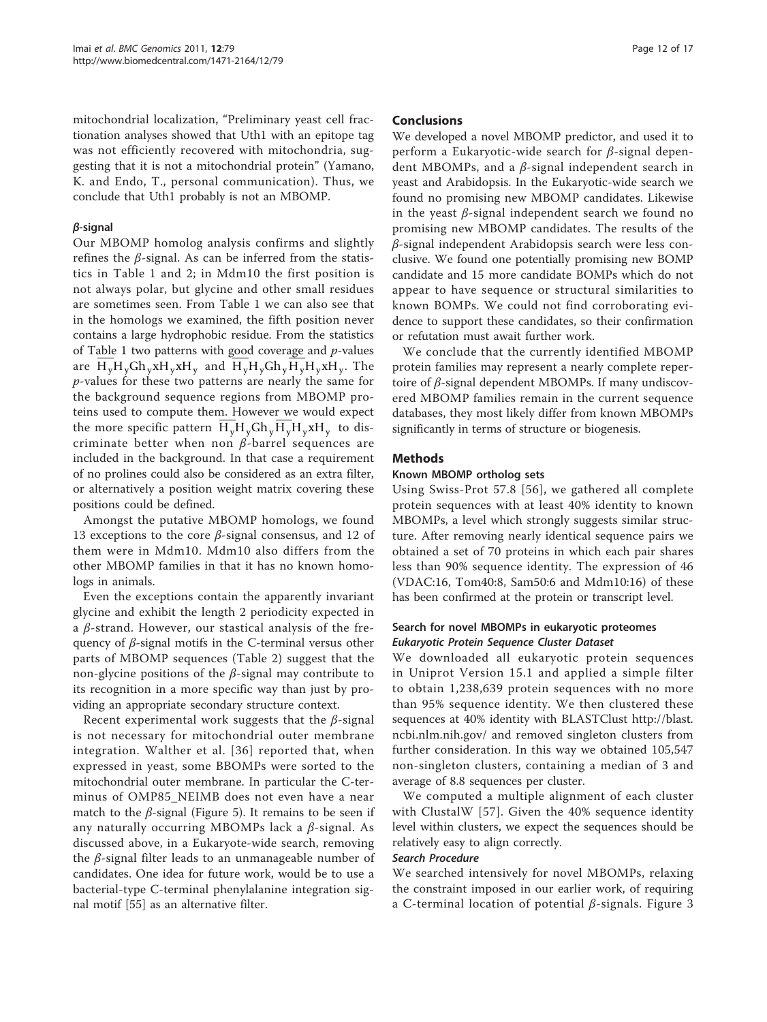mitochondrial localization, "Preliminary yeast cell fractionation analyses showed that Uth1 with an epitope tag was not efficiently recovered with mitochondria, suggesting that it is not a mitochondrial protein" (Yamano, K. and Endo, T., personal communication). Thus, we conclude that Uth1 probably is not an MBOMP.

# β-signal

Our MBOMP homolog analysis confirms and slightly refines the β-signal. As can be inferred from the statistics in Table [1 and 2; in Mdm10 the first position is](#page-4-0) [not always polar, but glycine](#page-4-0) and other small residues [are sometimes seen. From Table 1 we can also see that](#page-3-0) [in the homologs we examined, the fifth position never](#page-3-0) [contains a large hydrophobic residue. From the statistics](#page-3-0) [of Table 1 two patterns with good coverage and](#page-3-0)  $p$ -values [are](#page-3-0)  $H_vH_vGh_vxH_vxH_v$  [and](#page-3-0)  $H_vH_vGh_vH_vH_vxH_v$ [. The](#page-3-0) p[-values for these two patterns are nearly the same for](#page-3-0) [the background sequence regions from MBOMP pro](#page-3-0)[teins used to compute them. However we would expect](#page-3-0) [the more specific pattern](#page-3-0)  $H_vH_vGh_vH_vH_vxH_v$  [to dis](#page-3-0)[criminate better when non](#page-3-0)  $\beta$ -barrel sequences are [included in the background. In that case a requirement](#page-3-0) [of no prolines could also be considered as an extra filter,](#page-3-0) [or alternatively a position weight matrix covering these](#page-3-0) [positions could be defined.](#page-3-0)

Amongst the putative MBOMP homologs, we found 13 exceptions to the core  $β$ -signal consensus, and 12 of them were in Mdm10. Mdm10 also differs from the other MBOMP families in that it has no known homologs in animals.

Even the exceptions contain the apparently invariant glycine and exhibit the length 2 periodicity expected in a  $\beta$ -strand. However, our stastical analysis of the frequency of  $\beta$ -signal motifs in the C-terminal versus other parts of MBOMP sequences (Table [2\) suggest that the](#page-4-0) [non-glycine positions of the](#page-4-0)  $β$ -signal may contribute to [its recognition in a more specific way than just by pro](#page-4-0)[viding an appropriate secondary structure context.](#page-4-0)

Recent experimental work suggests that the  $\beta$ -signal is not necessary for mitochondrial outer membrane integration. Walther et al. [36] reported that, when expressed in yeast, some BBOMPs were sorted to the mitochondrial outer membrane. In particular the C-terminus of OMP85\_NEIMB does not even have a near match to the  $\beta$ -signal (Figure [5\). It remains to be seen if](#page-6-0) [any naturally occurring MBOMPs lack a](#page-6-0)  $β$ -signal. As [discussed above, in a Eukaryote-wide search, removing](#page-6-0) the β[-signal filter leads to an unmanageable number of](#page-6-0) [candidates. One idea for future work, would be to use a](#page-6-0) [bacterial-type C-terminal phenylalanine integration sig](#page-6-0)nal motif [55] as an alternative filter.

#### Conclusions

We developed a novel MBOMP predictor, and used it to perform a Eukaryotic-wide search for β-signal dependent MBOMPs, and a  $\beta$ -signal independent search in yeast and Arabidopsis. In the Eukaryotic-wide search we found no promising new MBOMP candidates. Likewise in the yeast  $\beta$ -signal independent search we found no promising new MBOMP candidates. The results of the β-signal independent Arabidopsis search were less conclusive. We found one potentially promising new BOMP candidate and 15 more candidate BOMPs which do not appear to have sequence or structural similarities to known BOMPs. We could not find corroborating evidence to support these candidates, so their confirmation or refutation must await further work.

We conclude that the currently identified MBOMP protein families may represent a nearly complete repertoire of  $\beta$ -signal dependent MBOMPs. If many undiscovered MBOMP families remain in the current sequence databases, they most likely differ from known MBOMPs significantly in terms of structure or biogenesis.

#### Methods

# Known MBOMP ortholog sets

Using Swiss-Prot 57.8 [56], we gathered all complete protein sequences with at least 40% identity to known MBOMPs, a level which strongly suggests similar structure. After removing nearly identical sequence pairs we obtained a set of 70 proteins in which each pair shares less than 90% sequence identity. The expression of 46 (VDAC:16, Tom40:8, Sam50:6 and Mdm10:16) of these has been confirmed at the protein or transcript level.

# Search for novel MBOMPs in eukaryotic proteomes Eukaryotic Protein Sequence Cluster Dataset

We downloaded all eukaryotic protein sequences in Uniprot Version 15.1 and applied a simple filter to obtain 1,238,639 protein sequences with no more than 95% sequence identity. We then clustered these sequences at 40% identity with BLASTClust [http://blast.](http://blast.ncbi.nlm.nih.gov/) [ncbi.nlm.nih.gov/](http://blast.ncbi.nlm.nih.gov/) and removed singleton clusters from further consideration. In this way we obtained 105,547 non-singleton clusters, containing a median of 3 and average of 8.8 sequences per cluster.

We computed a multiple alignment of each cluster with ClustalW [57]. Given the 40% sequence identity level within clusters, we expect the sequences should be relatively easy to align correctly.

#### Search Procedure

We searched intensively for novel MBOMPs, relaxing the constraint imposed in our earlier work, of requiring a C-terminal location of potential β-signals. Figure [3](#page-4-0)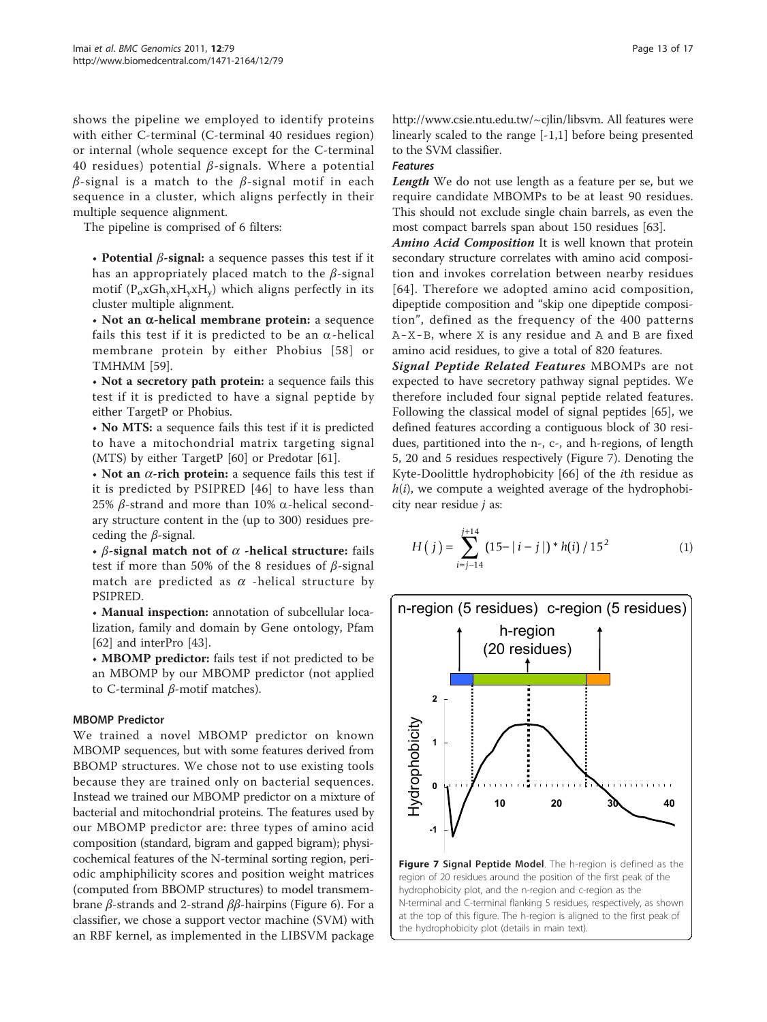[shows the pipeline we employed to identify proteins](#page-4-0) [with either C-terminal \(C-terminal 40 residues region\)](#page-4-0) [or internal \(whole sequence except for the C-terminal](#page-4-0) 40 residues) potential  $β$ [-signals. Where a potential](#page-4-0)  $β$ [-signal is a match to the](#page-4-0)  $β$ -signal motif in each [sequence in a cluster, which aligns perfectly in their](#page-4-0) [multiple sequence alignment.](#page-4-0)

The pipeline is comprised of 6 filters:

• Potential  $\beta$ -signal: a sequence passes this test if it has an appropriately placed match to the  $\beta$ -signal motif  $(\text{P}_{\text{o}} \text{xG}\text{h}_{\text{y}} \text{xH}_{\text{y}} \text{xH}_{\text{y}})$  which aligns perfectly in its cluster multiple alignment.

 $\cdot$  Not an  $\alpha$ -helical membrane protein: a sequence fails this test if it is predicted to be an  $\alpha$ -helical membrane protein by either Phobius [58] or TMHMM [59].

• Not a secretory path protein: a sequence fails this test if it is predicted to have a signal peptide by either TargetP or Phobius.

• No MTS: a sequence fails this test if it is predicted to have a mitochondrial matrix targeting signal (MTS) by either TargetP [60] or Predotar [61].

• Not an  $\alpha$ -rich protein: a sequence fails this test if it is predicted by PSIPRED [46] to have less than 25% β-strand and more than 10%  $\alpha$ -helical secondary structure content in the (up to 300) residues preceding the  $\beta$ -signal.

• β-signal match not of  $\alpha$  -helical structure: fails test if more than 50% of the 8 residues of  $\beta$ -signal match are predicted as  $\alpha$  -helical structure by PSIPRED.

• Manual inspection: annotation of subcellular localization, family and domain by Gene ontology, Pfam [62] and interPro [43].

• MBOMP predictor: fails test if not predicted to be an MBOMP by our MBOMP predictor (not applied to C-terminal β-motif matches).

#### MBOMP Predictor

We trained a novel MBOMP predictor on known MBOMP sequences, but with some features derived from BBOMP structures. We chose not to use existing tools because they are trained only on bacterial sequences. Instead we trained our MBOMP predictor on a mixture of bacterial and mitochondrial proteins. The features used by our MBOMP predictor are: three types of amino acid composition (standard, bigram and gapped bigram); physicochemical features of the N-terminal sorting region, periodic amphiphilicity scores and position weight matrices (computed from BBOMP structures) to model transmembrane *β*-strands and 2-strand *ββ*-hairpins (Figure [6\). For a](#page-7-0) [classifier, we chose a support vector machine \(SVM\) with](#page-7-0) [an RBF kernel, as implemented in the LIBSVM package](#page-7-0)

[http://www.csie.ntu.edu.tw/~cjlin/libsvm.](http://www.csie.ntu.edu.tw/~cjlin/libsvm) All features were linearly scaled to the range [-1,1] before being presented to the SVM classifier.

#### Features

Length We do not use length as a feature per se, but we require candidate MBOMPs to be at least 90 residues. This should not exclude single chain barrels, as even the most compact barrels span about 150 residues [63].

Amino Acid Composition It is well known that protein secondary structure correlates with amino acid composition and invokes correlation between nearby residues [64]. Therefore we adopted amino acid composition, dipeptide composition and "skip one dipeptide composition", defined as the frequency of the 400 patterns A-X-B, where X is any residue and A and B are fixed amino acid residues, to give a total of 820 features.

Signal Peptide Related Features MBOMPs are not expected to have secretory pathway signal peptides. We therefore included four signal peptide related features. Following the classical model of signal peptides [65], we defined features according a contiguous block of 30 residues, partitioned into the n-, c-, and h-regions, of length 5, 20 and 5 residues respectively (Figure 7). Denoting the Kyte-Doolittle hydrophobicity [66] of the ith residue as  $h(i)$ , we compute a weighted average of the hydrophobicity near residue  $j$  as:

$$
H(j) = \sum_{i=j-14}^{j+14} (15 - |i - j|)^* h(i) / 15^2
$$
 (1)



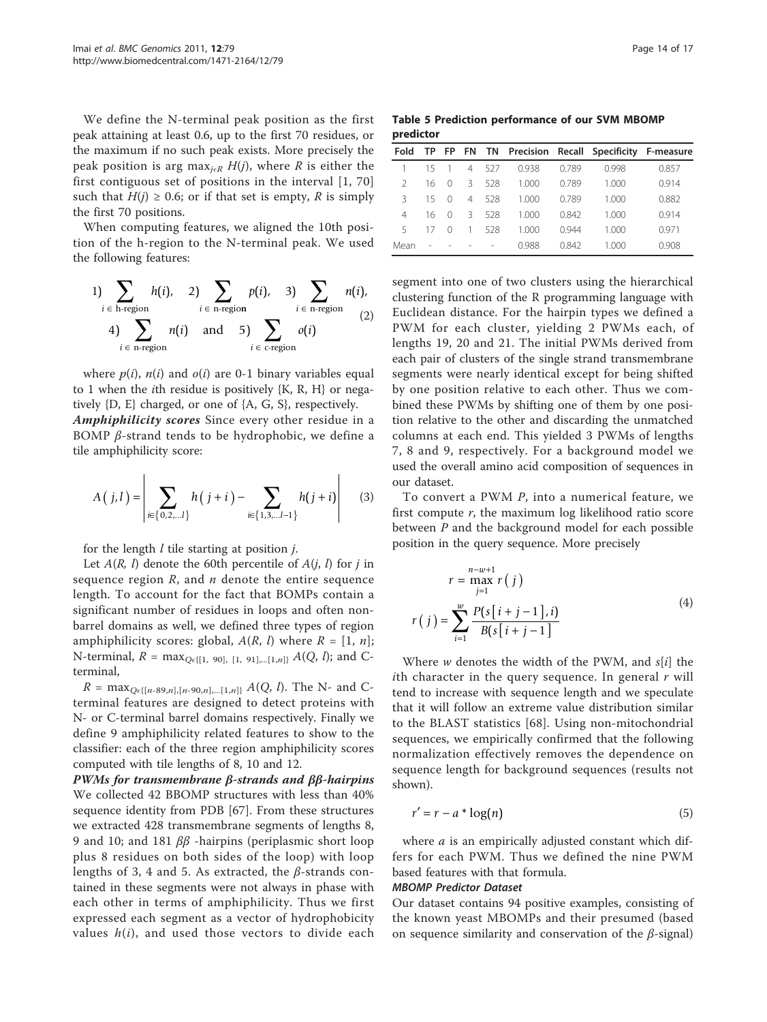<span id="page-13-0"></span>We define the N-terminal peak position as the first peak attaining at least 0.6, up to the first 70 residues, or the maximum if no such peak exists. More precisely the peak position is arg max<sub>icR</sub> H(j), where R is either the first contiguous set of positions in the interval [1, 70] such that  $H(j) \geq 0.6$ ; or if that set is empty, R is simply the first 70 positions.

When computing features, we aligned the 10th position of the h-region to the N-terminal peak. We used the following features:

1) 
$$
\sum_{i \in \text{h-region}} h(i), \quad 2) \sum_{i \in \text{n-region}} p(i), \quad 3) \sum_{i \in \text{n-region}} n(i),
$$
  
4) 
$$
\sum_{i \in \text{n-region}} n(i) \quad \text{and} \quad 5) \sum_{i \in \text{cregion}} o(i)
$$
 (2)

where  $p(i)$ ,  $n(i)$  and  $o(i)$  are 0-1 binary variables equal to 1 when the *i*th residue is positively  $\{K, R, H\}$  or negatively {D, E} charged, or one of {A, G, S}, respectively. Amphiphilicity scores Since every other residue in a

BOMP  $\beta$ -strand tends to be hydrophobic, we define a tile amphiphilicity score:

$$
A(j,l) = \left| \sum_{i \in \{0,2,...l\}} h(j+i) - \sum_{i \in \{1,3,...l-1\}} h(j+i) \right| \tag{3}
$$

for the length  $l$  tile starting at position  $j$ .

Let  $A(R, l)$  denote the 60th percentile of  $A(j, l)$  for j in sequence region  $R$ , and  $n$  denote the entire sequence length. To account for the fact that BOMPs contain a significant number of residues in loops and often nonbarrel domains as well, we defined three types of region amphiphilicity scores: global,  $A(R, l)$  where  $R = [1, n]$ ; N-terminal,  $R = \max_{Q \in \{ [1, 90], [1, 91], \dots [1, n] \}} A(Q, l);$  and Cterminal,

 $R = \max_{Q \in \{[n-89,n], [n-90,n], \dots [1,n]\}} A(Q, l)$ . The N- and Cterminal features are designed to detect proteins with N- or C-terminal barrel domains respectively. Finally we define 9 amphiphilicity related features to show to the classifier: each of the three region amphiphilicity scores computed with tile lengths of 8, 10 and 12.

PWMs for transmembrane β-strands and ββ-hairpins We collected 42 BBOMP structures with less than 40% sequence identity from PDB [67]. From these structures we extracted 428 transmembrane segments of lengths 8, 9 and 10; and 181  $ββ$  -hairpins (periplasmic short loop plus 8 residues on both sides of the loop) with loop lengths of 3, 4 and 5. As extracted, the  $\beta$ -strands contained in these segments were not always in phase with each other in terms of amphiphilicity. Thus we first expressed each segment as a vector of hydrophobicity values  $h(i)$ , and used those vectors to divide each

Table 5 Prediction performance of our SVM MBOMP predictor

| Fold          | <b>TP</b> | FP.              |                |     |       |       | FN TN Precision Recall Specificity F-measure |       |
|---------------|-----------|------------------|----------------|-----|-------|-------|----------------------------------------------|-------|
|               | 15        |                  | $\overline{4}$ | 527 | 0.938 | 0.789 | 0.998                                        | 0.857 |
| $\mathcal{P}$ | 16        | 0                | Β              | 528 | 1.000 | 0.789 | 1.000                                        | 0.914 |
| २             | 15        | 0                | 4              | 528 | 1.000 | 0.789 | 1.000                                        | 0.882 |
| 4             | 16        | 0                | 3              | 528 | 1.000 | 0.842 | 1.000                                        | 0.914 |
| 5             | 17        | $\left( \right)$ | 1              | 528 | 1.000 | 0.944 | 1.000                                        | 0.971 |
| Mean          |           |                  |                |     | 0.988 | 0.842 | 1.000                                        | 0.908 |

segment into one of two clusters using the hierarchical clustering function of the R programming language with Euclidean distance. For the hairpin types we defined a PWM for each cluster, yielding 2 PWMs each, of lengths 19, 20 and 21. The initial PWMs derived from each pair of clusters of the single strand transmembrane segments were nearly identical except for being shifted by one position relative to each other. Thus we combined these PWMs by shifting one of them by one position relative to the other and discarding the unmatched columns at each end. This yielded 3 PWMs of lengths 7, 8 and 9, respectively. For a background model we used the overall amino acid composition of sequences in our dataset.

To convert a PWM P, into a numerical feature, we first compute  $r$ , the maximum log likelihood ratio score between  $P$  and the background model for each possible position in the query sequence. More precisely

$$
r = \max_{j=1}^{n-w+1} r(j)
$$
  
\n
$$
r(j) = \sum_{i=1}^{w} \frac{P(s[i+j-1], i)}{B(s[i+j-1)]}
$$
 (4)

Where  $w$  denotes the width of the PWM, and  $s[i]$  the *i*th character in the query sequence. In general  $r$  will tend to increase with sequence length and we speculate that it will follow an extreme value distribution similar to the BLAST statistics [68]. Using non-mitochondrial sequences, we empirically confirmed that the following normalization effectively removes the dependence on sequence length for background sequences (results not shown).

$$
r' = r - a * \log(n) \tag{5}
$$

where  $a$  is an empirically adjusted constant which differs for each PWM. Thus we defined the nine PWM based features with that formula.

#### MBOMP Predictor Dataset

Our dataset contains 94 positive examples, consisting of the known yeast MBOMPs and their presumed (based on sequence similarity and conservation of the  $\beta$ -signal)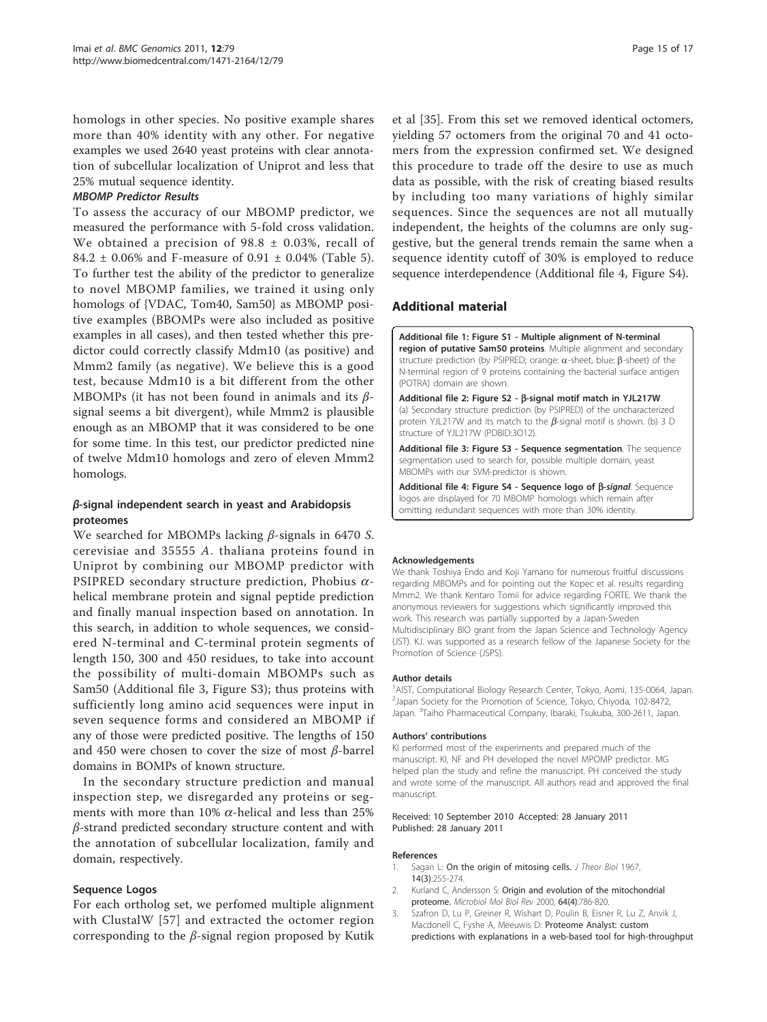homologs in other species. No positive example shares more than 40% identity with any other. For negative examples we used 2640 yeast proteins with clear annotation of subcellular localization of Uniprot and less that 25% mutual sequence identity.

#### MBOMP Predictor Results

To assess the accuracy of our MBOMP predictor, we measured the performance with 5-fold cross validation. We obtained a precision of  $98.8 \pm 0.03$ %, recall of 84.2  $\pm$  0.06% and F-measure of 0.91  $\pm$  0.04% (Table [5\).](#page-13-0) [To further test the ability of the predictor to generalize](#page-13-0) [to novel MBOMP families, we trained it using only](#page-13-0) [homologs of {VDAC, Tom40, Sam50} as MBOMP posi](#page-13-0)[tive examples \(BBOMPs were also included as positive](#page-13-0) [examples in all cases\), and then tested whether this pre](#page-13-0)[dictor could correctly classify Mdm10 \(as positive\) and](#page-13-0) [Mmm2 family \(as negative\). We believe this is a good](#page-13-0) [test, because Mdm10 is a bit different from the other](#page-13-0) [MBOMPs \(it has not been found in animals and its](#page-13-0)  $\beta$ [signal seems a bit divergent\), while Mmm2 is plausible](#page-13-0) [enough as an MBOMP that it was considered to be one](#page-13-0) [for some time. In this test, our predictor predicted nine](#page-13-0) [of twelve Mdm10 homologs and zero of eleven Mmm2](#page-13-0) [homologs.](#page-13-0)

# β-signal independent search in yeast and Arabidopsis proteomes

We searched for MBOMPs lacking β-signals in 6470 S. cerevisiae and 35555 A. thaliana proteins found in Uniprot by combining our MBOMP predictor with PSIPRED secondary structure prediction, Phobius  $\alpha$ helical membrane protein and signal peptide prediction and finally manual inspection based on annotation. In this search, in addition to whole sequences, we considered N-terminal and C-terminal protein segments of length 150, 300 and 450 residues, to take into account the possibility of multi-domain MBOMPs such as Sam50 (Additional file 3, Figure S3); thus proteins with sufficiently long amino acid sequences were input in seven sequence forms and considered an MBOMP if any of those were predicted positive. The lengths of 150 and 450 were chosen to cover the size of most β-barrel domains in BOMPs of known structure.

In the secondary structure prediction and manual inspection step, we disregarded any proteins or segments with more than 10%  $\alpha$ -helical and less than 25% β-strand predicted secondary structure content and with the annotation of subcellular localization, family and domain, respectively.

#### Sequence Logos

For each ortholog set, we perfomed multiple alignment with ClustalW [57] and extracted the octomer region corresponding to the β-signal region proposed by Kutik

et al [35]. From this set we removed identical octomers, yielding 57 octomers from the original 70 and 41 octomers from the expression confirmed set. We designed this procedure to trade off the desire to use as much data as possible, with the risk of creating biased results by including too many variations of highly similar sequences. Since the sequences are not all mutually independent, the heights of the columns are only suggestive, but the general trends remain the same when a sequence identity cutoff of 30% is employed to reduce sequence interdependence (Additional file 4, Figure S4).

#### Additional material

[Additional file 1: F](http://www.biomedcentral.com/content/supplementary/1471-2164-12-79-S1.PDF)igure S1 - Multiple alignment of N-terminal region of putative Sam50 proteins. Multiple alignment and secondary structure prediction (by PSIPRED; orange:  $\alpha$ -sheet, blue:  $\beta$ -sheet) of the N-terminal region of 9 proteins containing the bacterial surface antigen (POTRA) domain are shown.

[Additional file 2: F](http://www.biomedcentral.com/content/supplementary/1471-2164-12-79-S2.PDF)igure S2 -  $\beta$ -signal motif match in YJL217W. (a) Secondary structure prediction (by PSIPRED) of the uncharacterized protein YJL217W and its match to the  $\beta$ -signal motif is shown. (b) 3 D structure of YJL217W (PDBID:3O12).

[Additional file 3: F](http://www.biomedcentral.com/content/supplementary/1471-2164-12-79-S3.PDF)igure S3 - Sequence segmentation. The sequence segmentation used to search for, possible multiple domain, yeast MBOMPs with our SVM-predictor is shown.

[Additional file 4: F](http://www.biomedcentral.com/content/supplementary/1471-2164-12-79-S4.PDF)igure S4 - Sequence logo of  $\beta$ -signal. Sequence logos are displayed for 70 MBOMP homologs which remain after omitting redundant sequences with more than 30% identity.

#### Acknowledgements

We thank Toshiya Endo and Koji Yamano for numerous fruitful discussions regarding MBOMPs and for pointing out the Kopec et al. results regarding Mmm2. We thank Kentaro Tomii for advice regarding FORTE. We thank the anonymous reviewers for suggestions which significantly improved this work. This research was partially supported by a Japan-Sweden Multidisciplinary BIO grant from the Japan Science and Technology Agency (JST). K.I. was supported as a research fellow of the Japanese Society for the Promotion of Science (JSPS).

#### Author details

<sup>1</sup>AIST, Computational Biology Research Center, Tokyo, Aomi, 135-0064, Japan 2 Japan Society for the Promotion of Science, Tokyo, Chiyoda, 102-8472, Japan. <sup>3</sup>Taiho Pharmaceutical Company, Ibaraki, Tsukuba, 300-2611, Japan

#### Authors' contributions

KI performed most of the experiments and prepared much of the manuscript. KI, NF and PH developed the novel MPOMP predictor. MG helped plan the study and refine the manuscript. PH conceived the study and wrote some of the manuscript. All authors read and approved the final manuscript.

#### Received: 10 September 2010 Accepted: 28 January 2011 Published: 28 January 2011

#### References

- 1. Sagan L: [On the origin of mitosing cells.](http://www.ncbi.nlm.nih.gov/pubmed/11541392?dopt=Abstract) J Theor Biol 1967, 14(3):255-274.
- 2. Kurland C, Andersson S: [Origin and evolution of the mitochondrial](http://www.ncbi.nlm.nih.gov/pubmed/11104819?dopt=Abstract) [proteome.](http://www.ncbi.nlm.nih.gov/pubmed/11104819?dopt=Abstract) Microbiol Mol Biol Rev 2000, 64(4):786-820.
- 3. Szafron D, Lu P, Greiner R, Wishart D, Poulin B, Eisner R, Lu Z, Anvik J, Macdonell C, Fyshe A, Meeuwis D: [Proteome Analyst: custom](http://www.ncbi.nlm.nih.gov/pubmed/15215412?dopt=Abstract) [predictions with explanations in a web-based tool for high-throughput](http://www.ncbi.nlm.nih.gov/pubmed/15215412?dopt=Abstract)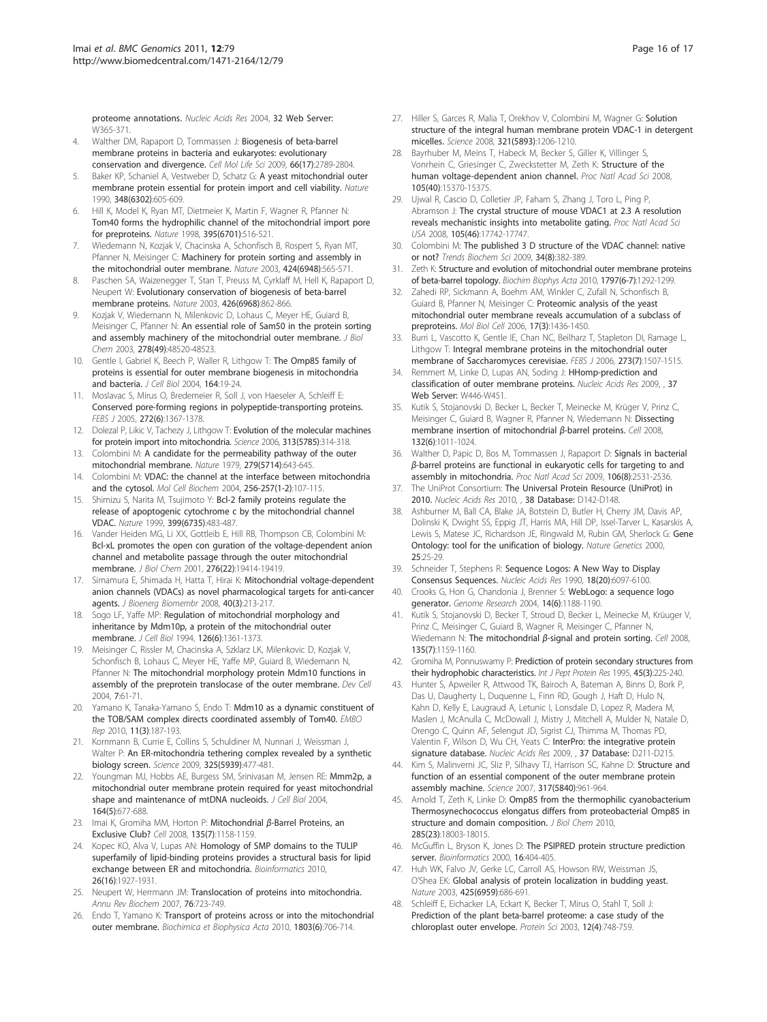[proteome annotations.](http://www.ncbi.nlm.nih.gov/pubmed/15215412?dopt=Abstract) Nucleic Acids Res 2004, 32 Web Server: W365-371.

- 4. Walther DM, Rapaport D, Tommassen J: [Biogenesis of beta-barrel](http://www.ncbi.nlm.nih.gov/pubmed/19399587?dopt=Abstract) [membrane proteins in bacteria and eukaryotes: evolutionary](http://www.ncbi.nlm.nih.gov/pubmed/19399587?dopt=Abstract) [conservation and divergence.](http://www.ncbi.nlm.nih.gov/pubmed/19399587?dopt=Abstract) Cell Mol Life Sci 2009, 66(17):2789-2804.
- Baker KP, Schaniel A, Vestweber D, Schatz G: [A yeast mitochondrial outer](http://www.ncbi.nlm.nih.gov/pubmed/2250717?dopt=Abstract) [membrane protein essential for protein import and cell viability.](http://www.ncbi.nlm.nih.gov/pubmed/2250717?dopt=Abstract) Nature 1990, 348(6302):605-609.
- 6. Hill K, Model K, Ryan MT, Dietmeier K, Martin F, Wagner R, Pfanner N: [Tom40 forms the hydrophilic channel of the mitochondrial import pore](http://www.ncbi.nlm.nih.gov/pubmed/9774109?dopt=Abstract) [for preproteins.](http://www.ncbi.nlm.nih.gov/pubmed/9774109?dopt=Abstract) Nature 1998, 395(6701):516-521.
- 7. Wiedemann N, Kozjak V, Chacinska A, Schonfisch B, Rospert S, Ryan MT, Pfanner N, Meisinger C: [Machinery for protein sorting and assembly in](http://www.ncbi.nlm.nih.gov/pubmed/12891361?dopt=Abstract) [the mitochondrial outer membrane.](http://www.ncbi.nlm.nih.gov/pubmed/12891361?dopt=Abstract) Nature 2003, 424(6948):565-571.
- 8. Paschen SA, Waizenegger T, Stan T, Preuss M, Cyrklaff M, Hell K, Rapaport D, Neupert W: [Evolutionary conservation of biogenesis of beta-barrel](http://www.ncbi.nlm.nih.gov/pubmed/14685243?dopt=Abstract) [membrane proteins.](http://www.ncbi.nlm.nih.gov/pubmed/14685243?dopt=Abstract) Nature 2003, 426(6968):862-866.
- 9. Kozjak V, Wiedemann N, Milenkovic D, Lohaus C, Meyer HE, Guiard B, Meisinger C, Pfanner N: [An essential role of Sam50 in the protein sorting](http://www.ncbi.nlm.nih.gov/pubmed/14570913?dopt=Abstract) [and assembly machinery of the mitochondrial outer membrane.](http://www.ncbi.nlm.nih.gov/pubmed/14570913?dopt=Abstract) J Biol Chem 2003, 278(49):48520-48523.
- 10. Gentle I, Gabriel K, Beech P, Waller R, Lithgow T: [The Omp85 family of](http://www.ncbi.nlm.nih.gov/pubmed/14699090?dopt=Abstract) [proteins is essential for outer membrane biogenesis in mitochondria](http://www.ncbi.nlm.nih.gov/pubmed/14699090?dopt=Abstract) [and bacteria.](http://www.ncbi.nlm.nih.gov/pubmed/14699090?dopt=Abstract) J Cell Biol 2004, 164:19-24.
- 11. Moslavac S, Mirus O, Bredemeier R, Soll J, von Haeseler A, Schleiff E: [Conserved pore-forming regions in polypeptide-transporting proteins.](http://www.ncbi.nlm.nih.gov/pubmed/15752354?dopt=Abstract) FEBS J 2005, 272(6):1367-1378.
- 12. Dolezal P, Likic V, Tachezy J, Lithgow T: [Evolution of the molecular machines](http://www.ncbi.nlm.nih.gov/pubmed/16857931?dopt=Abstract) [for protein import into mitochondria.](http://www.ncbi.nlm.nih.gov/pubmed/16857931?dopt=Abstract) Science 2006, 313(5785):314-318.
- 13. Colombini M: [A candidate for the permeability pathway of the outer](http://www.ncbi.nlm.nih.gov/pubmed/450112?dopt=Abstract) [mitochondrial membrane.](http://www.ncbi.nlm.nih.gov/pubmed/450112?dopt=Abstract) Nature 1979, 279(5714):643-645.
- 14. Colombini M: [VDAC: the channel at the interface between mitochondria](http://www.ncbi.nlm.nih.gov/pubmed/14977174?dopt=Abstract) [and the cytosol.](http://www.ncbi.nlm.nih.gov/pubmed/14977174?dopt=Abstract) Mol Cell Biochem 2004, 256-257(1-2):107-115.
- 15. Shimizu S, Narita M, Tsujimoto Y: [Bcl-2 family proteins regulate the](http://www.ncbi.nlm.nih.gov/pubmed/10365962?dopt=Abstract) [release of apoptogenic cytochrome c by the mitochondrial channel](http://www.ncbi.nlm.nih.gov/pubmed/10365962?dopt=Abstract) [VDAC.](http://www.ncbi.nlm.nih.gov/pubmed/10365962?dopt=Abstract) Nature 1999, 399(6735):483-487.
- 16. Vander Heiden MG, Li XX, Gottleib E, Hill RB, Thompson CB, Colombini M: [Bcl-xL promotes the open con guration of the voltage-dependent anion](http://www.ncbi.nlm.nih.gov/pubmed/11259441?dopt=Abstract) [channel and metabolite passage through the outer mitochondrial](http://www.ncbi.nlm.nih.gov/pubmed/11259441?dopt=Abstract) [membrane.](http://www.ncbi.nlm.nih.gov/pubmed/11259441?dopt=Abstract) J Biol Chem 2001, 276(22):19414-19419.
- 17. Simamura E, Shimada H, Hatta T, Hirai K: [Mitochondrial voltage-dependent](http://www.ncbi.nlm.nih.gov/pubmed/18704666?dopt=Abstract) [anion channels \(VDACs\) as novel pharmacological targets for anti-cancer](http://www.ncbi.nlm.nih.gov/pubmed/18704666?dopt=Abstract) [agents.](http://www.ncbi.nlm.nih.gov/pubmed/18704666?dopt=Abstract) J Bioenerg Biomembr 2008, 40(3):213-217.
- 18. Sogo LF, Yaffe MP: [Regulation of mitochondrial morphology and](http://www.ncbi.nlm.nih.gov/pubmed/8089171?dopt=Abstract) [inheritance by Mdm10p, a protein of the mitochondrial outer](http://www.ncbi.nlm.nih.gov/pubmed/8089171?dopt=Abstract) [membrane.](http://www.ncbi.nlm.nih.gov/pubmed/8089171?dopt=Abstract) J Cell Biol 1994, 126(6):1361-1373.
- 19. Meisinger C, Rissler M, Chacinska A, Szklarz LK, Milenkovic D, Kozjak V, Schonfisch B, Lohaus C, Meyer HE, Yaffe MP, Guiard B, Wiedemann N, Pfanner N: [The mitochondrial morphology protein Mdm10 functions in](http://www.ncbi.nlm.nih.gov/pubmed/15239954?dopt=Abstract) [assembly of the preprotein translocase of the outer membrane.](http://www.ncbi.nlm.nih.gov/pubmed/15239954?dopt=Abstract) Dev Cell 2004, 7:61-71.
- 20. Yamano K, Tanaka-Yamano S, Endo T: [Mdm10 as a dynamic constituent of](http://www.ncbi.nlm.nih.gov/pubmed/20111053?dopt=Abstract) [the TOB/SAM complex directs coordinated assembly of Tom40.](http://www.ncbi.nlm.nih.gov/pubmed/20111053?dopt=Abstract) EMBO Rep 2010, 11(3):187-193.
- 21. Kornmann B, Currie E, Collins S, Schuldiner M, Nunnari J, Weissman J, Walter P: [An ER-mitochondria tethering complex revealed by a synthetic](http://www.ncbi.nlm.nih.gov/pubmed/19556461?dopt=Abstract) [biology screen.](http://www.ncbi.nlm.nih.gov/pubmed/19556461?dopt=Abstract) Science 2009, 325(5939):477-481.
- 22. Youngman MJ, Hobbs AE, Burgess SM, Srinivasan M, Jensen RE: [Mmm2p, a](http://www.ncbi.nlm.nih.gov/pubmed/14981098?dopt=Abstract) [mitochondrial outer membrane protein required for yeast mitochondrial](http://www.ncbi.nlm.nih.gov/pubmed/14981098?dopt=Abstract) [shape and maintenance of mtDNA nucleoids.](http://www.ncbi.nlm.nih.gov/pubmed/14981098?dopt=Abstract) *J Cell Biol* 2004, 164(5):677-688.
- 23. Imai K, Gromiha MM, Horton P: Mitochondrial β[-Barrel Proteins, an](http://www.ncbi.nlm.nih.gov/pubmed/19109882?dopt=Abstract) [Exclusive Club?](http://www.ncbi.nlm.nih.gov/pubmed/19109882?dopt=Abstract) Cell 2008, 135(7):1158-1159.
- 24. Kopec KO, Alva V, Lupas AN: [Homology of SMP domains to the TULIP](http://www.ncbi.nlm.nih.gov/pubmed/20554689?dopt=Abstract) [superfamily of lipid-binding proteins provides a structural basis for lipid](http://www.ncbi.nlm.nih.gov/pubmed/20554689?dopt=Abstract) [exchange between ER and mitochondria.](http://www.ncbi.nlm.nih.gov/pubmed/20554689?dopt=Abstract) Bioinformatics 2010, 26(16):1927-1931.
- 25. Neupert W, Herrmann JM: [Translocation of proteins into mitochondria.](http://www.ncbi.nlm.nih.gov/pubmed/17263664?dopt=Abstract) Annu Rev Biochem 2007, 76:723-749.
- 26. Endo T, Yamano K: [Transport of proteins across or into the mitochondrial](http://www.ncbi.nlm.nih.gov/pubmed/19945489?dopt=Abstract) [outer membrane.](http://www.ncbi.nlm.nih.gov/pubmed/19945489?dopt=Abstract) Biochimica et Biophysica Acta 2010, 1803(6):706-714.
- 27. Hiller S, Garces R, Malia T, Orekhov V, Colombini M, Wagner G: [Solution](http://www.ncbi.nlm.nih.gov/pubmed/18755977?dopt=Abstract) [structure of the integral human membrane protein VDAC-1 in detergent](http://www.ncbi.nlm.nih.gov/pubmed/18755977?dopt=Abstract) [micelles.](http://www.ncbi.nlm.nih.gov/pubmed/18755977?dopt=Abstract) Science 2008, 321(5893):1206-1210.
- 28. Bayrhuber M, Meins T, Habeck M, Becker S, Giller K, Villinger S, Vonrhein C, Griesinger C, Zweckstetter M, Zeth K: [Structure of the](http://www.ncbi.nlm.nih.gov/pubmed/18832158?dopt=Abstract) [human voltage-dependent anion channel.](http://www.ncbi.nlm.nih.gov/pubmed/18832158?dopt=Abstract) Proc Natl Acad Sci 2008, 105(40):15370-15375.
- 29. Ujwal R, Cascio D, Colletier JP, Faham S, Zhang J, Toro L, Ping P, Abramson J: [The crystal structure of mouse VDAC1 at 2.3 A resolution](http://www.ncbi.nlm.nih.gov/pubmed/18988731?dopt=Abstract) [reveals mechanistic insights into metabolite gating.](http://www.ncbi.nlm.nih.gov/pubmed/18988731?dopt=Abstract) Proc Natl Acad Sci USA 2008, 105(46):17742-17747.
- 30. Colombini M: [The published 3 D structure of the VDAC channel: native](http://www.ncbi.nlm.nih.gov/pubmed/19647437?dopt=Abstract) [or not?](http://www.ncbi.nlm.nih.gov/pubmed/19647437?dopt=Abstract) Trends Biochem Sci 2009, 34(8):382-389.
- 31. Zeth K: [Structure and evolution of mitochondrial outer membrane proteins](http://www.ncbi.nlm.nih.gov/pubmed/20450883?dopt=Abstract) [of beta-barrel topology.](http://www.ncbi.nlm.nih.gov/pubmed/20450883?dopt=Abstract) Biochim Biophys Acta 2010, 1797(6-7):1292-1299.
- 32. Zahedi RP, Sickmann A, Boehm AM, Winkler C, Zufall N, Schonfisch B, Guiard B, Pfanner N, Meisinger C: [Proteomic analysis of the yeast](http://www.ncbi.nlm.nih.gov/pubmed/16407407?dopt=Abstract) [mitochondrial outer membrane reveals accumulation of a subclass of](http://www.ncbi.nlm.nih.gov/pubmed/16407407?dopt=Abstract) [preproteins.](http://www.ncbi.nlm.nih.gov/pubmed/16407407?dopt=Abstract) Mol Biol Cell 2006, 17(3):1436-1450.
- 33. Burri L, Vascotto K, Gentle IE, Chan NC, Beilharz T, Stapleton DI, Ramage L, Lithgow T: [Integral membrane proteins in the mitochondrial outer](http://www.ncbi.nlm.nih.gov/pubmed/16689936?dopt=Abstract) [membrane of Saccharomyces cerevisiae.](http://www.ncbi.nlm.nih.gov/pubmed/16689936?dopt=Abstract) FEBS J 2006, 273(7):1507-1515.
- 34. Remmert M, Linke D, Lupas AN, Soding J: [HHomp-prediction and](http://www.ncbi.nlm.nih.gov/pubmed/19429691?dopt=Abstract) [classification of outer membrane proteins.](http://www.ncbi.nlm.nih.gov/pubmed/19429691?dopt=Abstract) Nucleic Acids Res 2009, , 37 Web Server: W446-W451.
- 35. Kutik S, Stojanovski D, Becker L, Becker T, Meinecke M, Krüger V, Prinz C, Meisinger C, Guiard B, Wagner R, Pfanner N, Wiedemann N: [Dissecting](http://www.ncbi.nlm.nih.gov/pubmed/18358813?dopt=Abstract) [membrane insertion of mitochondrial](http://www.ncbi.nlm.nih.gov/pubmed/18358813?dopt=Abstract) β-barrel proteins. Cell 2008, 132(6):1011-1024.
- 36. Walther D, Papic D, Bos M, Tommassen J, Rapaport D: [Signals in bacterial](http://www.ncbi.nlm.nih.gov/pubmed/19181862?dopt=Abstract) β[-barrel proteins are functional in eukaryotic cells for targeting to and](http://www.ncbi.nlm.nih.gov/pubmed/19181862?dopt=Abstract) [assembly in mitochondria.](http://www.ncbi.nlm.nih.gov/pubmed/19181862?dopt=Abstract) Proc Natl Acad Sci 2009, 106(8):2531-2536.
- 37. The UniProt Consortium: [The Universal Protein Resource \(UniProt\) in](http://www.ncbi.nlm.nih.gov/pubmed/19843607?dopt=Abstract) [2010.](http://www.ncbi.nlm.nih.gov/pubmed/19843607?dopt=Abstract) Nucleic Acids Res 2010, , 38 Database: D142-D148.
- Ashburner M, Ball CA, Blake JA, Botstein D, Butler H, Cherry JM, Davis AP, Dolinski K, Dwight SS, Eppig JT, Harris MA, Hill DP, Issel-Tarver L, Kasarskis A, Lewis S, Matese JC, Richardson JE, Ringwald M, Rubin GM, Sherlock G: [Gene](http://www.ncbi.nlm.nih.gov/pubmed/10802651?dopt=Abstract) [Ontology: tool for the unification of biology.](http://www.ncbi.nlm.nih.gov/pubmed/10802651?dopt=Abstract) Nature Genetics 2000, 25:25-29.
- 39. Schneider T, Stephens R: [Sequence Logos: A New Way to Display](http://www.ncbi.nlm.nih.gov/pubmed/2172928?dopt=Abstract) [Consensus Sequences.](http://www.ncbi.nlm.nih.gov/pubmed/2172928?dopt=Abstract) Nucleic Acids Res 1990, 18(20):6097-6100.
- 40. Crooks G, Hon G, Chandonia J, Brenner S: [WebLogo: a sequence logo](http://www.ncbi.nlm.nih.gov/pubmed/15173120?dopt=Abstract) [generator.](http://www.ncbi.nlm.nih.gov/pubmed/15173120?dopt=Abstract) Genome Research 2004, 14(6):1188-1190.
- 41. Kutik S, Stojanovski D, Becker T, Stroud D, Becker L, Meinecke M, Krüuger V, Prinz C, Meisinger C, Guiard B, Wagner R, Meisinger C, Pfanner N, Wiedemann N: The mitochondrial β-signal and protein sorting. Cell 2008, 135(7):1159-1160.
- 42. Gromiha M, Ponnuswamy P: [Prediction of protein secondary structures from](http://www.ncbi.nlm.nih.gov/pubmed/7775015?dopt=Abstract) [their hydrophobic characteristics.](http://www.ncbi.nlm.nih.gov/pubmed/7775015?dopt=Abstract) Int J Pept Protein Res 1995, 45(3):225-240.
- 43. Hunter S, Apweiler R, Attwood TK, Bairoch A, Bateman A, Binns D, Bork P, Das U, Daugherty L, Duquenne L, Finn RD, Gough J, Haft D, Hulo N, Kahn D, Kelly E, Laugraud A, Letunic I, Lonsdale D, Lopez R, Madera M, Maslen J, McAnulla C, McDowall J, Mistry J, Mitchell A, Mulder N, Natale D, Orengo C, Quinn AF, Selengut JD, Sigrist CJ, Thimma M, Thomas PD, Valentin F, Wilson D, Wu CH, Yeats C: [InterPro: the integrative protein](http://www.ncbi.nlm.nih.gov/pubmed/18940856?dopt=Abstract) [signature database.](http://www.ncbi.nlm.nih.gov/pubmed/18940856?dopt=Abstract) Nucleic Acids Res 2009, , 37 Database: D211-D215.
- 44. Kim S, Malinverni JC, Sliz P, Silhavy TJ, Harrison SC, Kahne D: [Structure and](http://www.ncbi.nlm.nih.gov/pubmed/17702946?dopt=Abstract) [function of an essential component of the outer membrane protein](http://www.ncbi.nlm.nih.gov/pubmed/17702946?dopt=Abstract) [assembly machine.](http://www.ncbi.nlm.nih.gov/pubmed/17702946?dopt=Abstract) Science 2007, 317(5840):961-964.
- 45. Arnold T, Zeth K, Linke D: [Omp85 from the thermophilic cyanobacterium](http://www.ncbi.nlm.nih.gov/pubmed/20351097?dopt=Abstract) [Thermosynechococcus elongatus differs from proteobacterial Omp85 in](http://www.ncbi.nlm.nih.gov/pubmed/20351097?dopt=Abstract) [structure and domain composition.](http://www.ncbi.nlm.nih.gov/pubmed/20351097?dopt=Abstract) J Biol Chem 2010, 285(23):18003-18015.
- 46. McGuffin L, Bryson K, Jones D: [The PSIPRED protein structure prediction](http://www.ncbi.nlm.nih.gov/pubmed/10869041?dopt=Abstract) [server.](http://www.ncbi.nlm.nih.gov/pubmed/10869041?dopt=Abstract) Bioinformatics 2000, 16:404-405.
- 47. Huh WK, Falvo JV, Gerke LC, Carroll AS, Howson RW, Weissman JS, O'Shea EK: [Global analysis of protein localization in budding yeast.](http://www.ncbi.nlm.nih.gov/pubmed/14562095?dopt=Abstract) Nature 2003, 425(6959):686-691.
- 48. Schleiff E, Eichacker LA, Eckart K, Becker T, Mirus O, Stahl T, Soll J: [Prediction of the plant beta-barrel proteome: a case study of the](http://www.ncbi.nlm.nih.gov/pubmed/12649433?dopt=Abstract) [chloroplast outer envelope.](http://www.ncbi.nlm.nih.gov/pubmed/12649433?dopt=Abstract) Protein Sci 2003, 12(4):748-759.